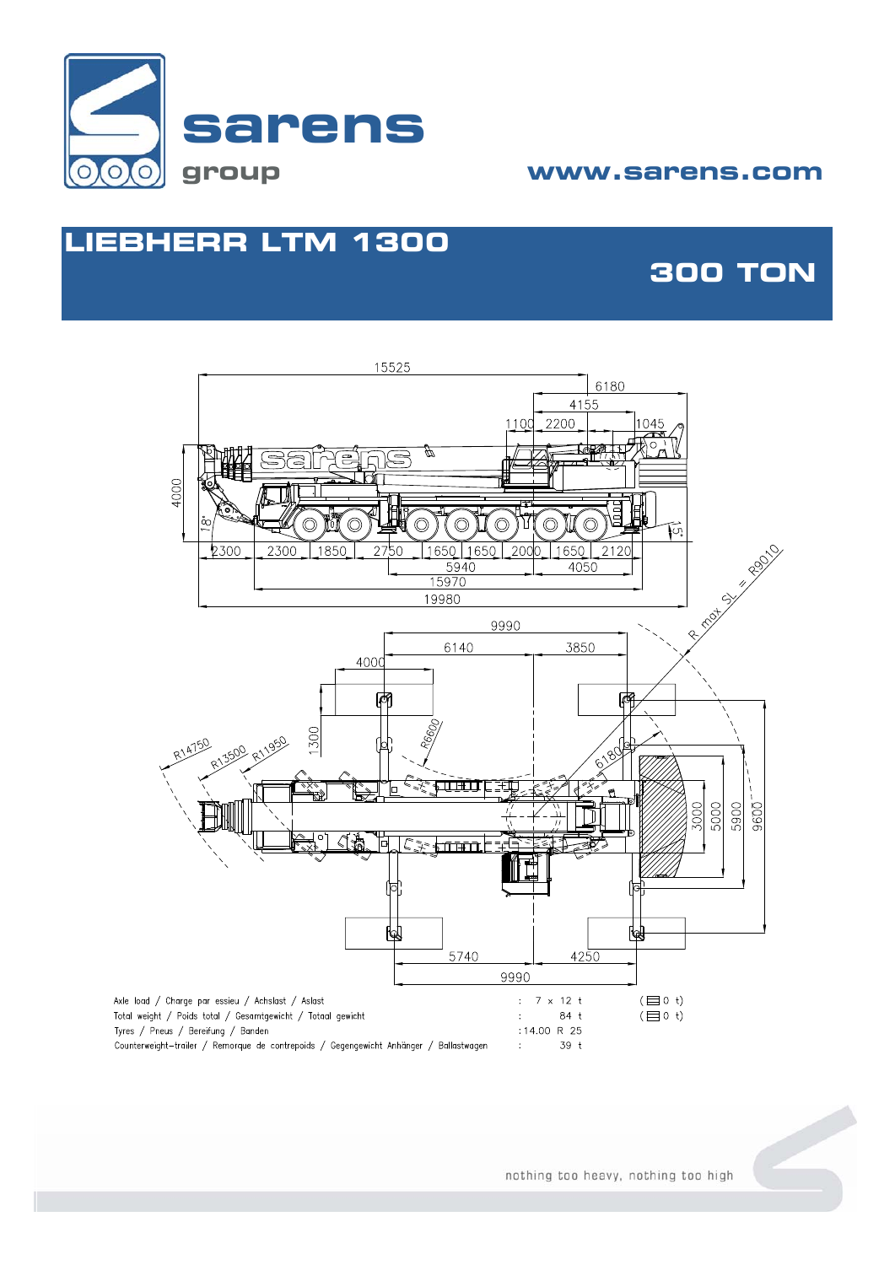

### **group www.sarens.com**

## **LIEBHERR LTM 1300**

## **300 TON**

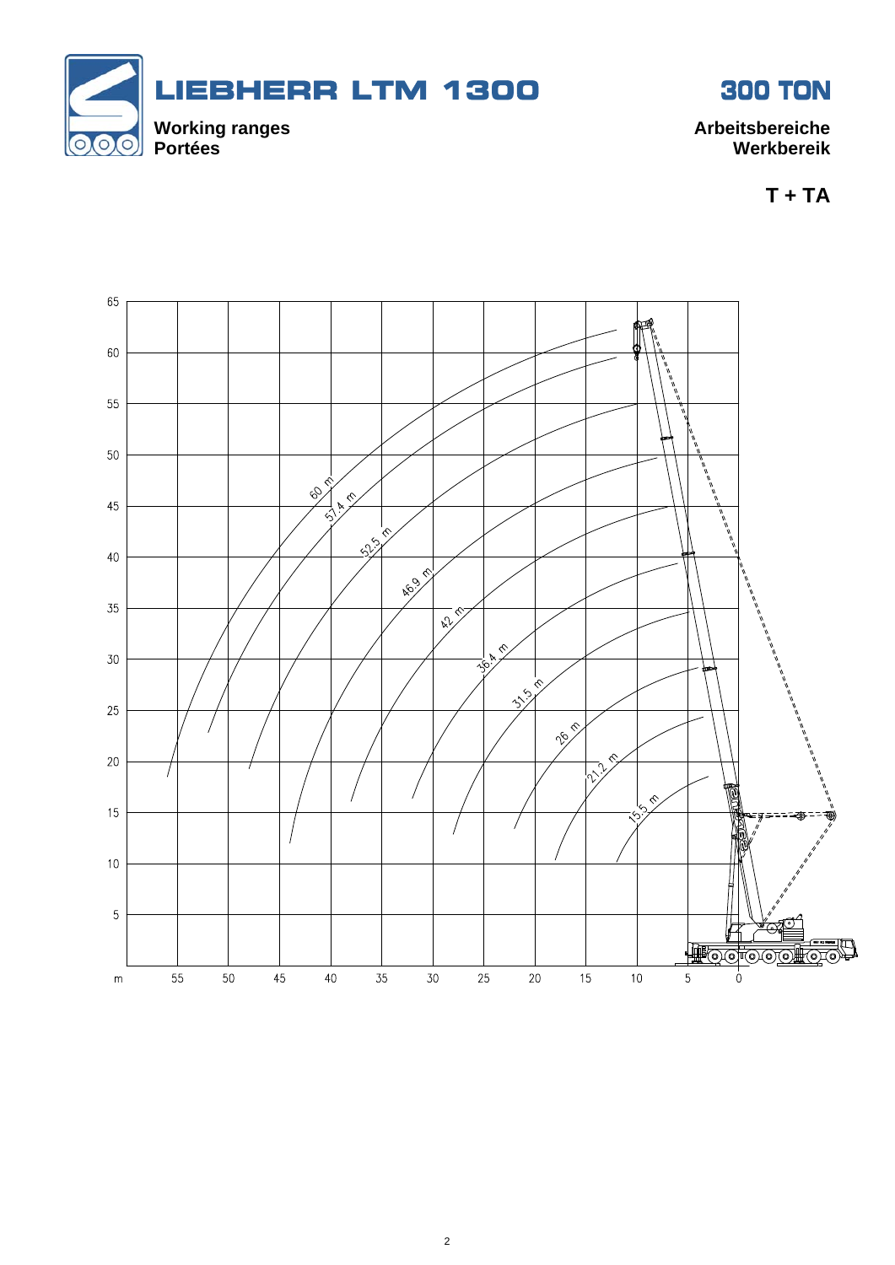



**T + TA** 

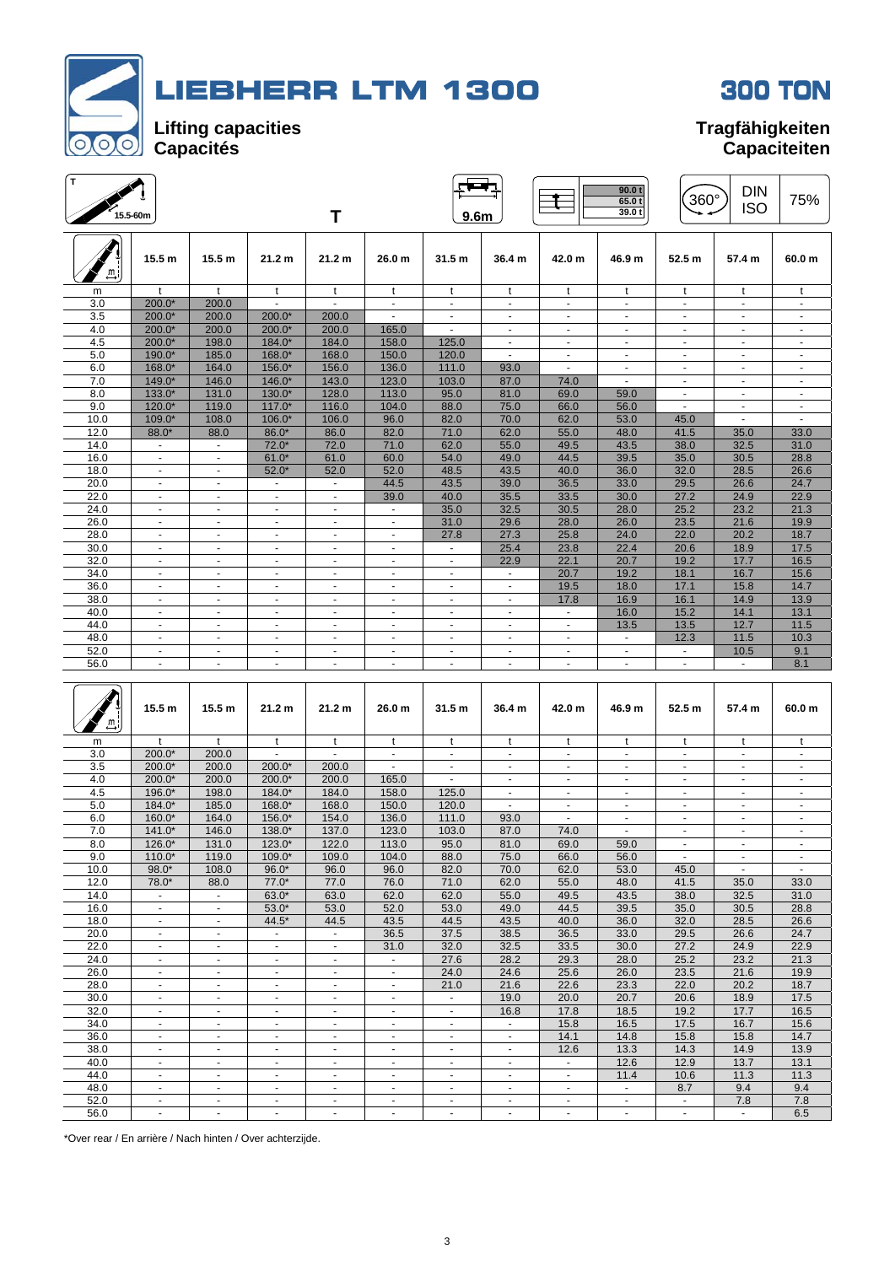



| $\mathbf T$ | 15.5-60m       |                   |                          | Τ                        |                          | 9.6 <sub>m</sub>  |                |                          | 90.0 t<br>65.0t<br>39.0t | 360°           | <b>DIN</b><br><b>ISO</b> | 75%                      |
|-------------|----------------|-------------------|--------------------------|--------------------------|--------------------------|-------------------|----------------|--------------------------|--------------------------|----------------|--------------------------|--------------------------|
| ≞           | 15.5 m         | 15.5 <sub>m</sub> | 21.2 <sub>m</sub>        | 21.2 <sub>m</sub>        | 26.0 <sub>m</sub>        | 31.5 <sub>m</sub> | 36.4 m         | 42.0 m                   | 46.9 m                   | 52.5 m         | 57.4 m                   | 60.0 <sub>m</sub>        |
| m           | $\mathbf{t}$   | $\mathbf{t}$      | t                        | t                        | t                        | t                 | t              | t                        | t                        | t              | t                        | t                        |
| 3.0         | $200.0*$       | 200.0             |                          | $\ddot{\phantom{1}}$     | $\blacksquare$           | ٠                 | $\blacksquare$ | $\frac{1}{2}$            | ٠                        | $\blacksquare$ | $\blacksquare$           | $\blacksquare$           |
| 3.5         | $200.0*$       | 200.0             | 200.0*                   | 200.0                    |                          |                   |                | ÷.                       | ä,                       | $\blacksquare$ | $\ddot{\phantom{1}}$     | $\blacksquare$           |
| 4.0         | $200.0*$       | 200.0             | $200.0*$                 | 200.0                    | 165.0                    |                   | ÷.             | $\blacksquare$           | ÷.                       | $\blacksquare$ | ä,                       | $\blacksquare$           |
| 4.5         | $200.0*$       | 198.0             | 184.0*                   | 184.0                    | 158.0                    | 125.0             |                | $\blacksquare$           | ٠                        |                |                          |                          |
| 5.0         | 190.0*         | 185.0             | 168.0*                   | 168.0                    | 150.0                    | 120.0             | $\mathbf{r}$   | $\mathbf{r}$             | ÷.                       | $\mathbf{r}$   | $\sim$                   | $\blacksquare$           |
| 6.0         | 168.0*         | 164.0             | 156.0*                   | 156.0                    | 136.0                    | 111.0             | 93.0           | $\blacksquare$           | $\sim$                   | $\blacksquare$ | $\blacksquare$           | $\overline{\phantom{a}}$ |
| 7.0         | $149.0*$       | 146.0             | $146.0*$                 | 143.0                    | 123.0                    | 103.0             | 87.0           | 74.0                     | $\blacksquare$           | $\blacksquare$ | $\blacksquare$           | ÷.                       |
| 8.0         | $133.0*$       | 131.0             | $130.0*$                 | 128.0                    | 113.0                    | 95.0              | 81.0           | 69.0                     | 59.0                     | $\blacksquare$ | $\blacksquare$           | $\overline{\phantom{a}}$ |
| 9.0         | $120.0*$       | 119.0             | $117.0*$                 | 116.0                    | 104.0                    | 88.0              | 75.0           | 66.0                     | 56.0                     | $\blacksquare$ | $\blacksquare$           | $\overline{a}$           |
| 10.0        | 109.0*         | 108.0             | 106.0*                   | 106.0                    | 96.0                     | 82.0              | 70.0           | 62.0                     | 53.0                     | 45.0           | $\overline{\phantom{a}}$ | $\overline{a}$           |
| 12.0        | 88.0*          | 88.0              | 86.0*                    | 86.0                     | 82.0                     | 71.0              | 62.0           | 55.0                     | 48.0                     | 41.5           | 35.0                     | 33.0                     |
| 14.0        | $\sim$         | $\mathbf{r}$      | $72.0*$                  | 72.0                     | 71.0                     | 62.0              | 55.0           | 49.5                     | 43.5                     | 38.0           | 32.5                     | 31.0                     |
| 16.0        | $\blacksquare$ | ٠                 | $61.0*$                  | 61.0                     | 60.0                     | 54.0              | 49.0           | 44.5                     | 39.5                     | 35.0           | 30.5                     | 28.8                     |
| 18.0        | $\blacksquare$ | $\blacksquare$    | $52.0*$                  | 52.0                     | 52.0                     | 48.5              | 43.5           | 40.0                     | 36.0                     | 32.0           | 28.5                     | 26.6                     |
| 20.0        | $\blacksquare$ | $\blacksquare$    | $\sim$                   | $\overline{\phantom{a}}$ | 44.5                     | 43.5              | 39.0           | 36.5                     | 33.0                     | 29.5           | 26.6                     | 24.7                     |
| 22.0        | $\blacksquare$ | $\blacksquare$    | $\blacksquare$           | $\blacksquare$           | 39.0                     | 40.0              | 35.5           | 33.5                     | 30.0                     | 27.2           | 24.9                     | 22.9                     |
| 24.0        | $\sim$         | $\sim$            | ÷.                       | $\blacksquare$           | $\blacksquare$           | 35.0              | 32.5           | 30.5                     | 28.0                     | 25.2           | 23.2                     | 21.3                     |
| 26.0        | $\blacksquare$ | $\blacksquare$    | $\sim$                   | $\overline{\phantom{a}}$ | $\overline{\phantom{a}}$ | 31.0              | 29.6           | 28.0                     | 26.0                     | 23.5           | 21.6                     | 19.9                     |
| 28.0        | $\blacksquare$ | ٠                 | $\overline{\phantom{a}}$ | $\overline{\phantom{a}}$ | $\sim$                   | 27.8              | 27.3           | 25.8                     | 24.0                     | 22.0           | 20.2                     | 18.7                     |
| 30.0        | $\blacksquare$ | ٠                 |                          | ٠                        | ٠                        | $\blacksquare$    | 25.4           | 23.8                     | 22.4                     | 20.6           | 18.9                     | 17.5                     |
| 32.0        | $\sim$         | $\blacksquare$    | $\blacksquare$           | ٠                        | $\overline{\phantom{a}}$ | $\blacksquare$    | 22.9           | 22.1                     | 20.7                     | 19.2           | 17.7                     | 16.5                     |
| 34.0        | $\sim$         | $\blacksquare$    | $\overline{a}$           | $\ddot{\phantom{1}}$     | $\sim$                   | $\blacksquare$    |                | 20.7                     | 19.2                     | 18.1           | 16.7                     | 15.6                     |
| 36.0        | $\blacksquare$ | $\blacksquare$    | $\blacksquare$           | $\overline{\phantom{a}}$ | $\sim$                   | ٠                 | $\blacksquare$ | 19.5                     | 18.0                     | 17.1           | 15.8                     | 14.7                     |
| 38.0        | $\sim$         |                   |                          | $\blacksquare$           | $\blacksquare$           |                   |                | 17.8                     | 16.9                     | 16.1           | 14.9                     | 13.9                     |
| 40.0        | $\blacksquare$ | $\blacksquare$    | $\sim$                   | $\blacksquare$           | $\blacksquare$           | $\blacksquare$    | $\blacksquare$ | $\blacksquare$           | 16.0                     | 15.2           | 14.1                     | 13.1                     |
| 44.0        | $\sim$         | $\mathbf{r}$      | $\sim$                   | $\blacksquare$           | $\sim$                   | $\blacksquare$    | ٠              | $\blacksquare$           | 13.5                     | 13.5           | 12.7                     | 11.5                     |
| 48.0        | $\blacksquare$ | $\blacksquare$    | $\blacksquare$           | $\overline{\phantom{a}}$ | $\blacksquare$           | $\blacksquare$    | $\blacksquare$ | $\blacksquare$           | $\blacksquare$           | 12.3           | 11.5                     | 10.3                     |
| 52.0        | $\blacksquare$ | ۰.                | ٠                        | ۰                        | $\overline{\phantom{a}}$ | ۰                 | ۰.             | $\overline{\phantom{a}}$ | $\blacksquare$           | $\blacksquare$ | 10.5                     | 9.1                      |
| 56.0        | $\blacksquare$ | $\mathbf{r}$      | ÷.                       | $\blacksquare$           | ä,                       | $\blacksquare$    | $\blacksquare$ | $\blacksquare$           | $\blacksquare$           | $\blacksquare$ |                          | 8.1                      |
|             |                |                   |                          |                          |                          |                   |                |                          |                          |                |                          |                          |

| $\stackrel{m}{\rightarrow}$ | 15.5 <sub>m</sub>    | 15.5 m                   | 21.2 m                   | 21.2 m                   | 26.0 <sub>m</sub>        | 31.5 <sub>m</sub>        | 36.4 m                   | 42.0 m                   | 46.9 m         | 52.5 m                   | 57.4 m         | 60.0 <sub>m</sub>        |
|-----------------------------|----------------------|--------------------------|--------------------------|--------------------------|--------------------------|--------------------------|--------------------------|--------------------------|----------------|--------------------------|----------------|--------------------------|
| m                           | $\ddot{\phantom{1}}$ | $\ddagger$               | $\ddagger$               | $\ddagger$               | $\mathbf{t}$             | $\ddagger$               | $\ddagger$               | $\mathbf{t}$             | $^{\dagger}$   | $\mathbf{t}$             | $\ddagger$     |                          |
| 3.0                         | $200.0*$             | 200.0                    |                          |                          |                          | $\ddot{\phantom{1}}$     |                          |                          |                |                          | ÷              |                          |
| 3.5                         | $200.0*$             | 200.0                    | 200.0*                   | 200.0                    | $\sim$                   | $\blacksquare$           | ٠                        | $\blacksquare$           | $\sim$         | $\sim$                   | $\overline{a}$ | ٠                        |
| 4.0                         | $200.0*$             | 200.0                    | $200.0*$                 | 200.0                    | 165.0                    | $\sim$                   | $\overline{a}$           | $\blacksquare$           | $\sim$         | $\sim$                   | $\overline{a}$ |                          |
| 4.5                         | 196.0*               | 198.0                    | $184.0*$                 | 184.0                    | 158.0                    | 125.0                    | ÷.                       | $\blacksquare$           | $\sim$         | $\sim$                   | ٠              | $\overline{\phantom{a}}$ |
| 5.0                         | 184.0*               | 185.0                    | 168.0*                   | 168.0                    | 150.0                    | 120.0                    |                          | $\blacksquare$           | ۰              | $\blacksquare$           | $\overline{a}$ |                          |
| 6.0                         | $160.0*$             | 164.0                    | $156.0*$                 | 154.0                    | 136.0                    | 111.0                    | 93.0                     | $\blacksquare$           | $\sim$         | $\overline{\phantom{a}}$ | $\blacksquare$ | ٠                        |
| 7.0                         | $141.0*$             | 146.0                    | 138.0*                   | 137.0                    | 123.0                    | 103.0                    | 87.0                     | 74.0                     | $\blacksquare$ | $\blacksquare$           | ٠              |                          |
| 8.0                         | $126.0*$             | 131.0                    | $123.0*$                 | 122.0                    | 113.0                    | 95.0                     | 81.0                     | 69.0                     | 59.0           | $\blacksquare$           |                |                          |
| 9.0                         | $110.0*$             | 119.0                    | 109.0*                   | 109.0                    | 104.0                    | 88.0                     | 75.0                     | 66.0                     | 56.0           |                          | $\overline{a}$ |                          |
| 10.0                        | $98.0*$              | 108.0                    | $96.0*$                  | 96.0                     | 96.0                     | 82.0                     | 70.0                     | 62.0                     | 53.0           | 45.0                     | $\overline{a}$ |                          |
| 12.0                        | $78.0*$              | 88.0                     | $77.0*$                  | 77.0                     | 76.0                     | 71.0                     | 62.0                     | 55.0                     | 48.0           | 41.5                     | 35.0           | 33.0                     |
| 14.0                        | $\sim$               | $\blacksquare$           | $63.0*$                  | 63.0                     | 62.0                     | 62.0                     | 55.0                     | 49.5                     | 43.5           | 38.0                     | 32.5           | 31.0                     |
| 16.0                        |                      | $\mathbf{r}$             | $53.0*$                  | 53.0                     | 52.0                     | 53.0                     | 49.0                     | 44.5                     | 39.5           | 35.0                     | 30.5           | 28.8                     |
| 18.0                        | ٠                    |                          | 44.5*                    | 44.5                     | 43.5                     | 44.5                     | 43.5                     | 40.0                     | 36.0           | 32.0                     | 28.5           | 26.6                     |
| 20.0                        | $\sim$               | $\blacksquare$           | ٠                        | $\blacksquare$           | 36.5                     | 37.5                     | 38.5                     | 36.5                     | 33.0           | 29.5                     | 26.6           | 24.7                     |
| 22.0                        | ÷                    | $\blacksquare$           | ٠                        | $\overline{\phantom{a}}$ | 31.0                     | 32.0                     | 32.5                     | 33.5                     | 30.0           | 27.2                     | 24.9           | 22.9                     |
| 24.0                        | $\overline{a}$       | $\blacksquare$           | ۰                        | $\overline{\phantom{a}}$ | $\blacksquare$           | 27.6                     | 28.2                     | 29.3                     | 28.0           | 25.2                     | 23.2           | 21.3                     |
| 26.0                        |                      | $\blacksquare$           | $\overline{\phantom{a}}$ | $\blacksquare$           | $\blacksquare$           | 24.0                     | 24.6                     | 25.6                     | 26.0           | 23.5                     | 21.6           | 19.9                     |
| 28.0                        | $\sim$               | $\overline{\phantom{a}}$ | ٠                        | $\overline{\phantom{a}}$ | $\overline{\phantom{a}}$ | 21.0                     | 21.6                     | 22.6                     | 23.3           | 22.0                     | 20.2           | 18.7                     |
| 30.0                        | $\blacksquare$       | $\blacksquare$           | ٠                        | $\overline{\phantom{a}}$ | $\blacksquare$           | $\blacksquare$           | 19.0                     | 20.0                     | 20.7           | 20.6                     | 18.9           | 17.5                     |
| 32.0                        | $\overline{a}$       | $\blacksquare$           |                          |                          | $\blacksquare$           | ٠                        | 16.8                     | 17.8                     | 18.5           | 19.2                     | 17.7           | 16.5                     |
| 34.0                        | $\ddot{\phantom{1}}$ |                          | $\blacksquare$           |                          |                          | $\ddot{\phantom{1}}$     |                          | 15.8                     | 16.5           | 17.5                     | 16.7           | 15.6                     |
| 36.0                        | ٠                    | ٠                        | $\sim$                   | $\overline{\phantom{a}}$ | $\sim$                   | $\blacksquare$           | $\blacksquare$           | 14.1                     | 14.8           | 15.8                     | 15.8           | 14.7                     |
| 38.0                        | $\blacksquare$       | $\ddot{\phantom{1}}$     | $\blacksquare$           | $\overline{\phantom{a}}$ | ٠                        | ٠                        | $\blacksquare$           | 12.6                     | 13.3           | 14.3                     | 14.9           | 13.9                     |
| 40.0                        | ÷.                   | $\blacksquare$           | ۰                        | $\overline{\phantom{a}}$ | $\blacksquare$           | $\overline{\phantom{a}}$ | $\blacksquare$           | $\blacksquare$           | 12.6           | 12.9                     | 13.7           | 13.1                     |
| 44.0                        |                      | $\ddot{\phantom{1}}$     | $\sim$                   |                          | ÷                        |                          | $\overline{a}$           | $\blacksquare$           | 11.4           | 10.6                     | 11.3           | 11.3                     |
| 48.0                        |                      | $\overline{\phantom{a}}$ | $\overline{\phantom{a}}$ |                          | ٠                        | $\overline{\phantom{a}}$ | $\overline{\phantom{a}}$ | $\overline{\phantom{a}}$ |                | 8.7                      | 9.4            | 9.4                      |
| 52.0                        | $\sim$               | ٠                        | ٠                        | $\blacksquare$           | ٠                        | $\blacksquare$           | ٠                        | $\overline{\phantom{a}}$ | $\sim$         | $\sim$                   | 7.8            | 7.8                      |
| 56.0                        |                      |                          |                          |                          |                          |                          |                          | $\overline{a}$           |                |                          |                | 6.5                      |

\*Over rear / En arrière / Nach hinten / Over achterzijde.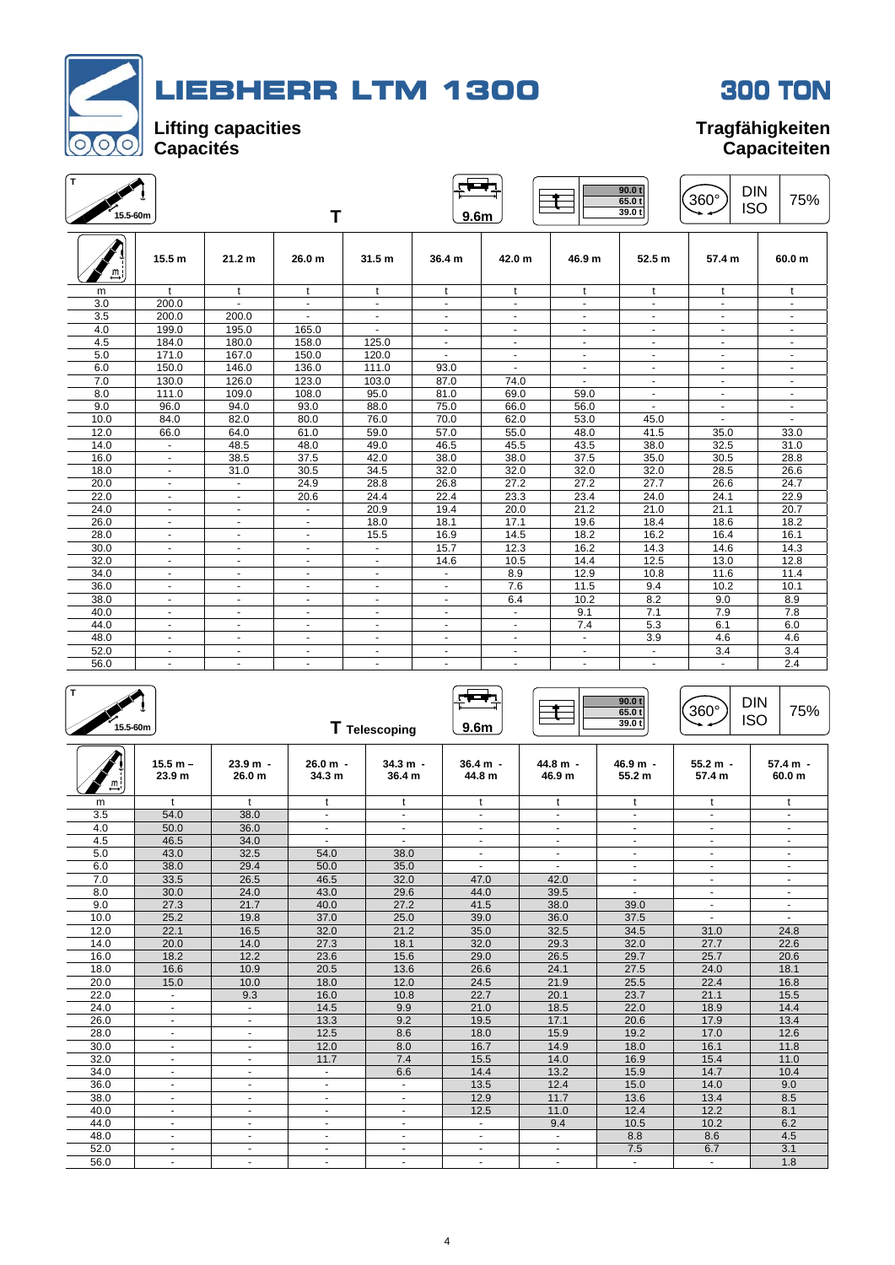



| ΪT.<br>15.5-60m |                   |                          | Т                 |                          | 9.6m                        |                          |                | 90.0 t<br>65.0t<br>39.0t | <b>DIN</b><br>360°<br><b>ISO</b> | 75%               |
|-----------------|-------------------|--------------------------|-------------------|--------------------------|-----------------------------|--------------------------|----------------|--------------------------|----------------------------------|-------------------|
|                 | 15.5 <sub>m</sub> | 21.2 <sub>m</sub>        | 26.0 <sub>m</sub> | 31.5 <sub>m</sub>        | 36.4 m                      | 42.0 <sub>m</sub>        | 46.9 m         | 52.5 <sub>m</sub>        | 57.4 m                           | 60.0 <sub>m</sub> |
| m               | $\mathbf{t}$      | $\mathbf{t}$             | t                 | t                        | $\mathbf{t}$                | t                        | $\mathbf{t}$   | t                        | t                                | t                 |
| 3.0             | 200.0             | $\sim$                   | $\sim$            | $\blacksquare$           | $\blacksquare$              | $\blacksquare$           | ٠              | $\sim$                   | $\overline{\phantom{a}}$         | $\blacksquare$    |
| 3.5             | 200.0             | 200.0                    | $\sim$            | $\blacksquare$           | $\blacksquare$              | $\overline{\phantom{a}}$ | $\blacksquare$ | $\sim$                   | $\sim$                           | $\blacksquare$    |
| 4.0             | 199.0             | 195.0                    | 165.0             | $\blacksquare$           | $\blacksquare$              | $\blacksquare$           | $\sim$         | $\sim$                   | $\sim$                           | $\blacksquare$    |
| 4.5             | 184.0             | 180.0                    | 158.0             | 125.0                    | $\blacksquare$              | $\overline{\phantom{a}}$ | $\sim$         | $\sim$                   | $\sim$                           | $\blacksquare$    |
| 5.0             | 171.0             | 167.0                    | 150.0             | 120.0                    | $\blacksquare$              | $\overline{\phantom{a}}$ | ٠              |                          |                                  | $\frac{1}{2}$     |
| 6.0             | 150.0             | 146.0                    | 136.0             | 111.0                    | 93.0                        | $\sim$                   | $\sim$         |                          | $\sim$                           | $\sim$            |
| 7.0             | 130.0             | 126.0                    | 123.0             | 103.0                    | 87.0                        | 74.0                     | ٠              |                          | $\overline{\phantom{a}}$         | $\blacksquare$    |
| 8.0             | 111.0             | 109.0                    | 108.0             | 95.0                     | 81.0                        | 69.0                     | 59.0           | $\blacksquare$           | $\sim$                           | $\blacksquare$    |
| 9.0             | 96.0              | 94.0                     | 93.0              | 88.0                     | 75.0                        | 66.0                     | 56.0           |                          | $\sim$                           | $\sim$            |
| 10.0            | 84.0              | 82.0                     | 80.0              | 76.0                     | 70.0                        | 62.0                     | 53.0           | 45.0                     |                                  | $\blacksquare$    |
| 12.0            | 66.0              | 64.0                     | 61.0              | 59.0                     | 57.0                        | 55.0                     | 48.0           | 41.5                     | 35.0                             | 33.0              |
| 14.0            | $\blacksquare$    | 48.5                     | 48.0              | 49.0                     | 46.5                        | 45.5                     | 43.5           | 38.0                     | 32.5                             | 31.0              |
| 16.0            | ÷.                | 38.5                     | 37.5              | 42.0                     | 38.0                        | 38.0                     | 37.5           | 35.0                     | 30.5                             | 28.8              |
| 18.0            | $\sim$            | 31.0                     | 30.5              | 34.5                     | 32.0                        | 32.0                     | 32.0           | 32.0                     | 28.5                             | 26.6              |
| 20.0            | $\sim$            | $\blacksquare$           | 24.9              | 28.8                     | 26.8                        | 27.2                     | 27.2           | 27.7                     | 26.6                             | 24.7              |
| 22.0            | ٠                 | $\overline{\phantom{a}}$ | 20.6              | 24.4                     | 22.4                        | 23.3                     | 23.4           | 24.0                     | 24.1                             | 22.9              |
| 24.0            | $\sim$            | $\blacksquare$           | $\sim$            | 20.9                     | 19.4                        | 20.0                     | 21.2           | 21.0                     | 21.1                             | 20.7              |
| 26.0            | $\sim$            | $\blacksquare$           | $\blacksquare$    | 18.0                     | 18.1                        | 17.1                     | 19.6           | 18.4                     | 18.6                             | 18.2              |
| 28.0            | ۰                 | $\blacksquare$           | $\blacksquare$    | 15.5                     | 16.9                        | 14.5                     | 18.2           | 16.2                     | 16.4                             | 16.1              |
| 30.0            | $\sim$            | $\overline{\phantom{a}}$ | $\blacksquare$    | $\sim$                   | 15.7                        | 12.3                     | 16.2           | 14.3                     | 14.6                             | 14.3              |
| 32.0            | $\sim$            | ٠                        |                   | $\overline{\phantom{a}}$ | 14.6                        | 10.5                     | 14.4           | 12.5                     | 13.0                             | 12.8              |
| 34.0            |                   |                          |                   |                          |                             | 8.9                      | 12.9           | 10.8                     | 11.6                             | 11.4              |
| 36.0            | ÷.                | ÷                        |                   | $\sim$                   | $\mathcal{L}^{\mathcal{A}}$ | 7.6                      | 11.5           | 9.4                      | 10.2                             | 10.1              |
| 38.0            | $\sim$            | ٠                        |                   | $\overline{\phantom{a}}$ | ٠                           | 6.4                      | 10.2           | 8.2                      | 9.0                              | 8.9               |
| 40.0            | ÷.                | $\blacksquare$           | $\sim$            | $\sim$                   | ÷.                          | $\sim$                   | 9.1            | 7.1                      | 7.9                              | 7.8               |
| 44.0            | $\sim$            | $\overline{\phantom{a}}$ | $\sim$            | $\blacksquare$           | $\overline{\phantom{a}}$    | $\sim$                   | 7.4            | 5.3                      | 6.1                              | 6.0               |
| 48.0            | $\blacksquare$    | $\overline{\phantom{a}}$ | ٠                 | $\overline{\phantom{a}}$ | $\blacksquare$              | $\blacksquare$           | $\sim$         | 3.9                      | 4.6                              | 4.6               |
| 52.0            | $\sim$            | $\overline{\phantom{a}}$ | $\blacksquare$    | $\overline{\phantom{a}}$ | $\overline{\phantom{a}}$    | $\overline{\phantom{a}}$ | ٠              |                          | 3.4                              | 3.4               |
| 56.0            | ÷.                | $\blacksquare$           | $\blacksquare$    | $\sim$                   | $\blacksquare$              | $\blacksquare$           | $\sim$         | $\sim$                   | $\sim$                           | 2.4               |

| т<br>15.5-60m |                                 |                      |                          | T Telescoping                   | 9.6 <sub>m</sub>         |                    | 90.0 t<br>65.0t<br>39.0t | 360°                     | <b>DIN</b><br>75%<br><b>ISO</b> |
|---------------|---------------------------------|----------------------|--------------------------|---------------------------------|--------------------------|--------------------|--------------------------|--------------------------|---------------------------------|
| 프             | $15.5 m -$<br>23.9 <sub>m</sub> | $23.9 m -$<br>26.0 m | 26.0 m -<br>34.3 m       | $34.3 m -$<br>36.4 <sub>m</sub> | $36.4 m -$<br>44.8 m     | 44.8 m -<br>46.9 m | $46.9 m -$<br>55.2 m     | $55.2 m -$<br>57.4 m     | $57.4 m -$<br>60.0 <sub>m</sub> |
| m             | $\ddagger$                      | $\ddagger$           | $\mathbf t$              | t                               | t                        | t                  | t                        | t                        | t                               |
| 3.5           | 54.0                            | 38.0                 | $\blacksquare$           | $\sim$                          | $\overline{\phantom{a}}$ | $\blacksquare$     | $\overline{\phantom{a}}$ | $\blacksquare$           |                                 |
| 4.0           | 50.0                            | 36.0                 | ÷                        | $\sim$                          | ÷.                       | ÷.                 |                          |                          |                                 |
| 4.5           | 46.5                            | 34.0                 | $\sim$                   | $\sim$                          | $\sim$                   | $\sim$             | $\sim$                   | $\sim$                   | $\blacksquare$                  |
| 5.0           | 43.0                            | 32.5                 | 54.0                     | 38.0                            | $\blacksquare$           | $\sim$             |                          | $\overline{\phantom{0}}$ |                                 |
| 6.0           | 38.0                            | 29.4                 | 50.0                     | 35.0                            | ÷.                       | $\sim$             |                          |                          |                                 |
| 7.0           | 33.5                            | 26.5                 | 46.5                     | 32.0                            | 47.0                     | 42.0               | $\blacksquare$           |                          | ä,                              |
| 8.0           | 30.0                            | 24.0                 | 43.0                     | 29.6                            | 44.0                     | 39.5               | $\sim$                   |                          | $\blacksquare$                  |
| 9.0           | 27.3                            | 21.7                 | 40.0                     | 27.2                            | 41.5                     | 38.0               | 39.0                     | ٠                        | $\overline{\phantom{a}}$        |
| 10.0          | 25.2                            | 19.8                 | 37.0                     | 25.0                            | 39.0                     | 36.0               | 37.5                     | ÷.                       |                                 |
| 12.0          | 22.1                            | 16.5                 | 32.0                     | 21.2                            | 35.0                     | 32.5               | 34.5                     | 31.0                     | 24.8                            |
| 14.0          | 20.0                            | 14.0                 | 27.3                     | 18.1                            | 32.0                     | 29.3               | 32.0                     | 27.7                     | 22.6                            |
| 16.0          | 18.2                            | 12.2                 | 23.6                     | 15.6                            | 29.0                     | 26.5               | 29.7                     | 25.7                     | 20.6                            |
| 18.0          | 16.6                            | 10.9                 | 20.5                     | 13.6                            | 26.6                     | 24.1               | 27.5                     | 24.0                     | 18.1                            |
| 20.0          | 15.0                            | 10.0                 | 18.0                     | 12.0                            | 24.5                     | 21.9               | 25.5                     | 22.4                     | 16.8                            |
| 22.0          | ٠                               | 9.3                  | 16.0                     | 10.8                            | 22.7                     | 20.1               | 23.7                     | 21.1                     | 15.5                            |
| 24.0          | $\overline{\phantom{a}}$        | $\blacksquare$       | 14.5                     | 9.9                             | 21.0                     | 18.5               | 22.0                     | 18.9                     | 14.4                            |
| 26.0          | $\blacksquare$                  | $\sim$               | 13.3                     | 9.2                             | 19.5                     | 17.1               | 20.6                     | 17.9                     | 13.4                            |
| 28.0          | $\sim$                          | $\sim$               | 12.5                     | 8.6                             | 18.0                     | 15.9               | 19.2                     | 17.0                     | 12.6                            |
| 30.0          | $\sim$                          | $\sim$               | 12.0                     | 8.0                             | 16.7                     | 14.9               | 18.0                     | 16.1                     | 11.8                            |
| 32.0          | $\blacksquare$                  | $\blacksquare$       | 11.7                     | 7.4                             | 15.5                     | 14.0               | 16.9                     | 15.4                     | 11.0                            |
| 34.0          | $\overline{a}$                  | $\sim$               |                          | 6.6                             | 14.4                     | 13.2               | 15.9                     | 14.7                     | 10.4                            |
| 36.0          | $\overline{a}$                  | $\sim$               | $\blacksquare$           | $\sim$                          | 13.5                     | 12.4               | 15.0                     | 14.0                     | 9.0                             |
| 38.0          | ÷,                              | $\sim$               | $\blacksquare$           | $\sim$                          | 12.9                     | 11.7               | 13.6                     | 13.4                     | 8.5                             |
| 40.0          | $\blacksquare$                  | $\sim$               | $\blacksquare$           | $\blacksquare$                  | 12.5                     | 11.0               | 12.4                     | 12.2                     | 8.1                             |
| 44.0          | $\overline{a}$                  | $\sim$               | $\blacksquare$           | $\sim$                          | $\blacksquare$           | 9.4                | 10.5                     | 10.2                     | 6.2                             |
| 48.0          | ÷                               | $\mathbf{r}$         | $\blacksquare$           | $\sim$                          | $\blacksquare$           | $\blacksquare$     | 8.8                      | 8.6                      | 4.5                             |
| 52.0          | $\blacksquare$                  | $\sim$               | $\blacksquare$           | ÷.                              | $\ddot{\phantom{1}}$     | ÷.                 | 7.5                      | 6.7                      | 3.1                             |
| 56.0          | $\blacksquare$                  | $\blacksquare$       | $\overline{\phantom{a}}$ | $\overline{\phantom{a}}$        | $\blacksquare$           | ٠                  |                          | ٠                        | 1.8                             |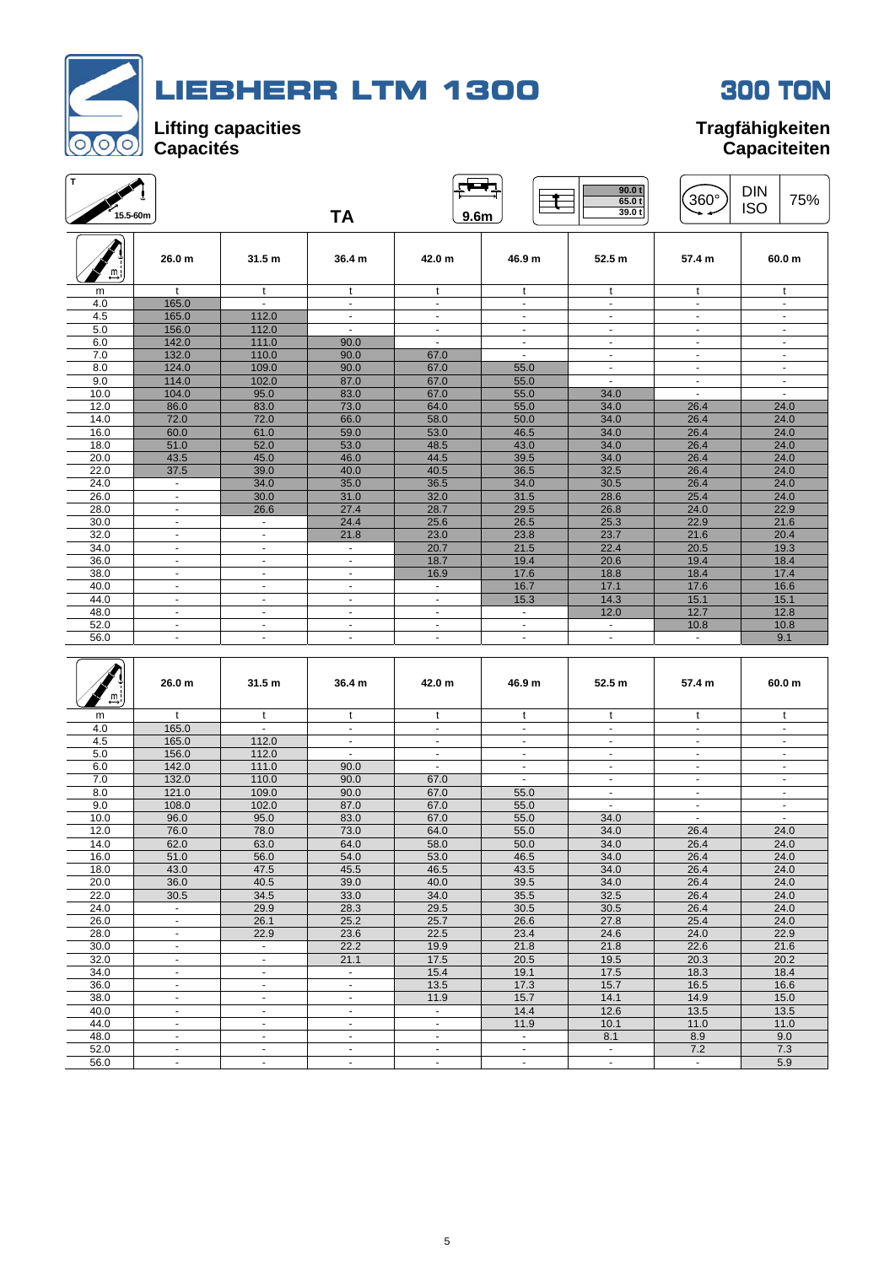



# **Capaciteiten**

 $\widehat{360^{\circ}}$  DIN 75%

**65.0 t 39.0 t** 

 $\begin{array}{|c|c|c|c|c|}\n\hline\n\text{F}} & \text{g.00 to} \\
\hline\n\end{array}$  $\frac{1}{15.5\text{-60m}}$  **TA 15.5 TA 15.6 ISO** 26.0 m | 31.5 m | 36.4 m | 42.0 m | 46.9 m | 52.5 m | 57.4 m | 60.0 m  $\overline{\mathbb{F}}$ m t t t t t t t t t t t t 4.0 | 165.0 | - | - | - | - | - | - | - | -4.5 | 165.0 | 112.0 | - | - | - | - | - | - | -5.0 | 156.0 | 112.0 | - | - | - | - | - | - | -6.0 | 142.0 | 111.0 | 90.0 | - | - | - | - | - | -7.0 | 132.0 | 110.0 | 90.0 | 67.0 | - | - | - | - | -8.0 | 124.0 | 109.0 | 90.0 | 67.0 | 55.0 | - | - | -9.0 | 114.0 | 102.0 | 87.0 | 67.0 | 55.0 | - | - | -10.0 | 104.0 | 95.0 | 83.0 | 67.0 | 55.0 | 34.0 | - | -12.0 86.0 83.0 73.0 64.0 55.0 34.0 26.4 24.0 14.0 72.0 72.0 66.0 58.0 58.0 34.0 34.0 26.4 24.0 16.0 60.0 60.0 61.0 59.0 53.0 46.5 34.0 26.4 24.0 18.0 51.0 52.0 53.0 48.5 43.0 34.0 26.4 24.0 20.0 | 43.5 | 45.0 | 46.0 | 44.5 | 39.5 | 34.0 | 26.4 | 24.0 22.0 37.5 39.0 40.0 40.5 36.5 32.5 26.4 24.0 24.0 | - | 34.0 | 35.0 | 36.5 | 34.0 | 30.5 | 26.4 | 24.0 26.0 | - | 30.0 | 31.0 | 32.0 | 31.5 | 28.6 | 25.4 | 24.0 28.0 - 28.6 27.4 28.7 28.7 29.5 26.8 24.0 22.9 30.0 **- - - 2**4.4 **25.6 1 26.5 25.3 22.9 21.6** 32.0 **- - - 2**1.8 **2** 23.0 **2** 23.8 **23.7 21.6 20.4** 

| 48.0 |                   |                          |                          |                |              | 12.0                     | 12.7           | 12.8                     |
|------|-------------------|--------------------------|--------------------------|----------------|--------------|--------------------------|----------------|--------------------------|
| 52.0 |                   |                          |                          |                |              |                          | 10.8           | 10.8                     |
| 56.0 | $\sim$            | $\sim$                   | $\overline{\phantom{a}}$ | $\sim$         |              | $\blacksquare$           | $\blacksquare$ | 9.1                      |
|      |                   |                          |                          |                |              |                          |                |                          |
| ≞,   | 26.0 <sub>m</sub> | 31.5 <sub>m</sub>        | 36.4 <sub>m</sub>        | 42.0 m         | 46.9 m       | 52.5 m                   | 57.4 m         | 60.0 m                   |
| m    | $\mathbf{t}$      | $\mathsf{t}$             | t                        | t              | $\mathbf{t}$ | t                        | t              | t                        |
| 4.0  | 165.0             | $\mathbf{r}$             | ÷.                       | $\blacksquare$ | ÷.           | $\blacksquare$           | $\sim$         | $\blacksquare$           |
| 4.5  | 165.0             | 112.0                    | ٠                        | ۰.             |              | $\blacksquare$           | $\blacksquare$ | $\overline{\phantom{a}}$ |
| 5.0  | 156.0             | 112.0                    | ٠                        | $\blacksquare$ |              |                          | $\blacksquare$ | $\overline{\phantom{a}}$ |
| 6.0  | 142.0             | 111.0                    | 90.0                     |                |              |                          |                | $\blacksquare$           |
| 7.0  | 132.0             | 110.0                    | 90.0                     | 67.0           |              | $\overline{\phantom{a}}$ | $\sim$         | $\overline{\phantom{a}}$ |
| 8.0  | 121.0             | 109.0                    | 90.0                     | 67.0           | 55.0         | $\blacksquare$           | $\sim$         | $\blacksquare$           |
| 9.0  | 108.0             | 102.0                    | 87.0                     | 67.0           | 55.0         | $\sim$                   | $\sim$         | $\blacksquare$           |
| 10.0 | 96.0              | 95.0                     | 83.0                     | 67.0           | 55.0         | 34.0                     | $\sim$         | ä,                       |
| 12.0 | 76.0              | 78.0                     | 73.0                     | 64.0           | 55.0         | 34.0                     | 26.4           | 24.0                     |
| 14.0 | 62.0              | 63.0                     | 64.0                     | 58.0           | 50.0         | 34.0                     | 26.4           | 24.0                     |
| 16.0 | 51.0              | 56.0                     | 54.0                     | 53.0           | 46.5         | 34.0                     | 26.4           | 24.0                     |
| 18.0 | 43.0              | 47.5                     | 45.5                     | 46.5           | 43.5         | 34.0                     | 26.4           | 24.0                     |
| 20.0 | 36.0              | 40.5                     | 39.0                     | 40.0           | 39.5         | 34.0                     | 26.4           | 24.0                     |
| 22.0 | 30.5              | 34.5                     | 33.0                     | 34.0           | 35.5         | 32.5                     | 26.4           | 24.0                     |
| 24.0 | $\blacksquare$    | 29.9                     | 28.3                     | 29.5           | 30.5         | 30.5                     | 26.4           | 24.0                     |
| 26.0 | $\blacksquare$    | 26.1                     | 25.2                     | 25.7           | 26.6         | 27.8                     | 25.4           | 24.0                     |
| 28.0 | $\blacksquare$    | 22.9                     | 23.6                     | 22.5           | 23.4         | 24.6                     | 24.0           | 22.9                     |
| 30.0 | ٠                 | $\sim$                   | 22.2                     | 19.9           | 21.8         | 21.8                     | 22.6           | 21.6                     |
| 32.0 | $\sim$            | $\blacksquare$           | 21.1                     | 17.5           | 20.5         | 19.5                     | 20.3           | 20.2                     |
| 34.0 | ۰                 | $\blacksquare$           |                          | 15.4           | 19.1         | 17.5                     | 18.3           | 18.4                     |
| 36.0 | $\blacksquare$    | ٠                        | ٠                        | 13.5           | 17.3         | 15.7                     | 16.5           | 16.6                     |
| 38.0 | $\blacksquare$    | $\blacksquare$           | ÷                        | 11.9           | 15.7         | 14.1                     | 14.9           | 15.0                     |
| 40.0 | $\blacksquare$    | $\sim$                   | ٠                        | $\blacksquare$ | 14.4         | 12.6                     | 13.5           | 13.5                     |
| 44.0 | $\sim$            | $\blacksquare$           | ٠                        | $\blacksquare$ | 11.9         | 10.1                     | 11.0           | 11.0                     |
| 48.0 | ۰.                | $\overline{\phantom{a}}$ | ٠                        | ۰.             | $\sim$       | 8.1                      | 8.9            | 9.0                      |
| 52.0 | $\blacksquare$    | $\blacksquare$           | ٠                        | ٠              | ٠            | $\blacksquare$           | 7.2            | 7.3                      |
| 56.0 | $\sim$            | ÷.                       | ٠                        | ÷.             | ٠            | $\sim$                   | ÷.             | 5.9                      |

34.0 | - | - | - | 20.7 | 21.5 | 22.4 | 20.5 | 19.3 36.0 | - | - | - | 18.7 | 19.4 | 20.6 | 19.4 | 18.4 38.0 | - | - | - | 16.9 | 17.6 | 18.8 | 18.4 | 17.4 40.0 | - | - | - | - | 16.7 | 17.1 | 17.6 | 16.6 44.0 | - | - | - | - | 15.3 | 14.3 | 15.1 | 15.1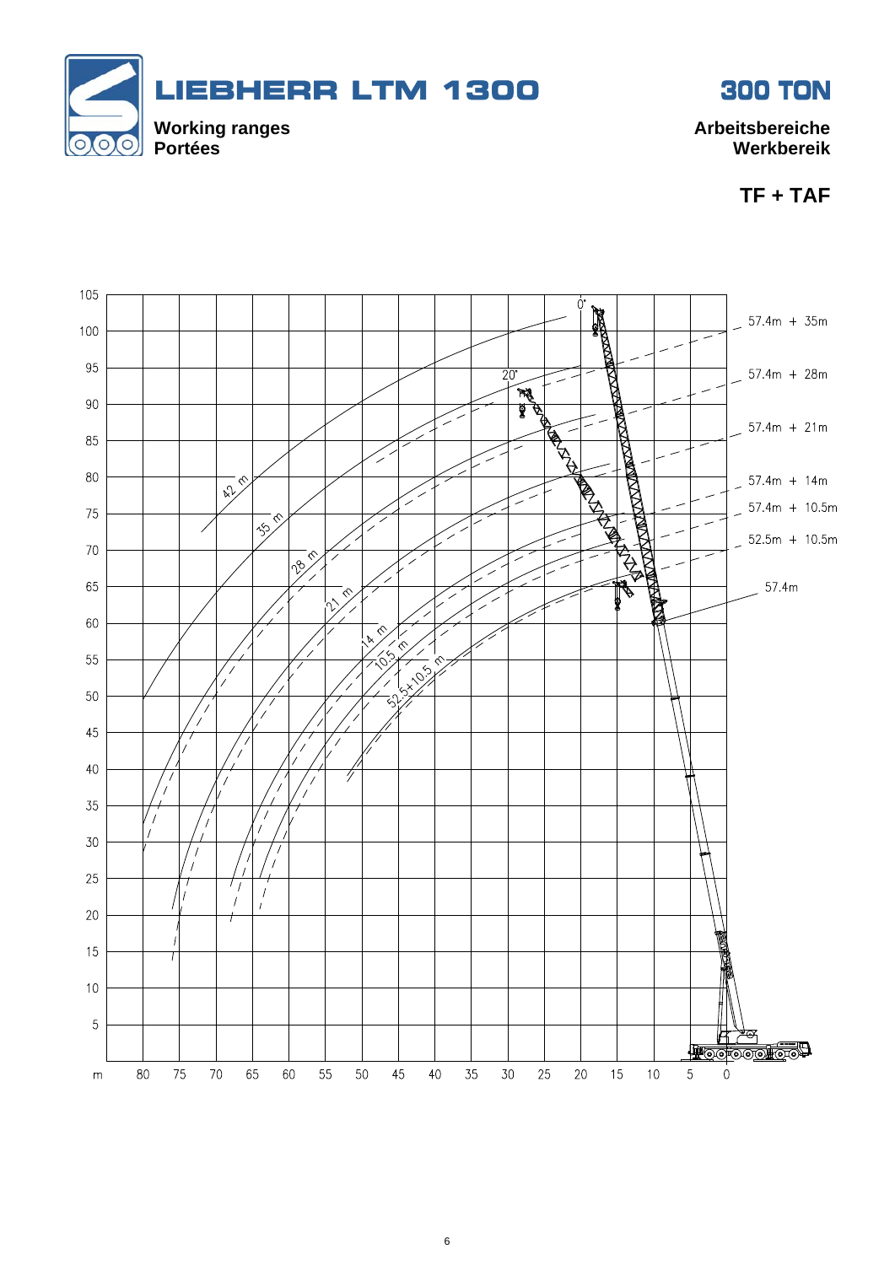



**TF + TAF** 

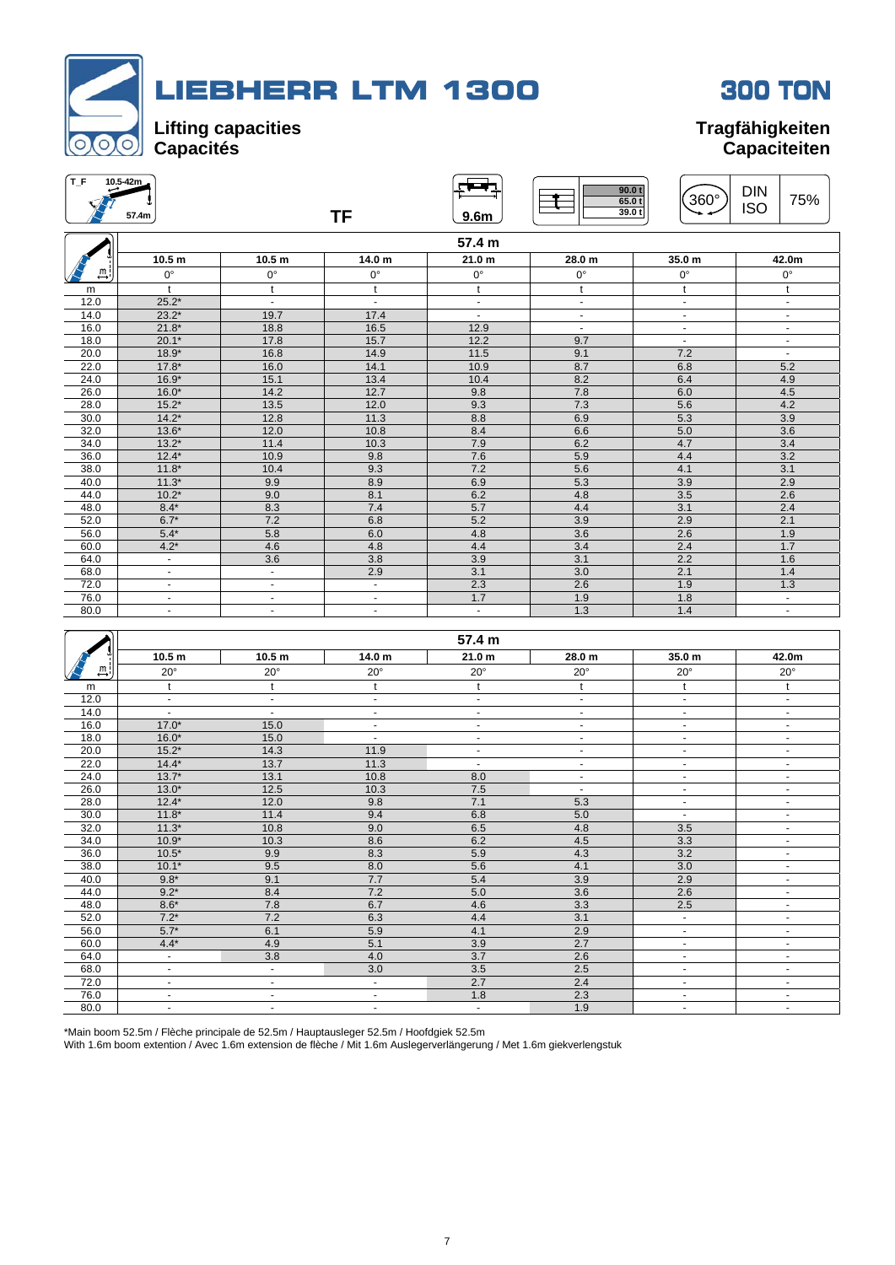



| T_F                          | 10.5-42m<br>57.4m |                   | <b>TF</b>      | 9.6 <sub>m</sub>  | 90.0 t<br>65.0t<br>39.0t | $360^\circ$    | <b>DIN</b><br>75%<br><b>ISO</b> |
|------------------------------|-------------------|-------------------|----------------|-------------------|--------------------------|----------------|---------------------------------|
|                              |                   |                   |                | 57.4 m            |                          |                |                                 |
|                              | 10.5 <sub>m</sub> | 10.5 <sub>m</sub> | 14.0 m         | 21.0 <sub>m</sub> | 28.0 m                   | 35.0 m         | 42.0m                           |
| Щ                            | $0^{\circ}$       | $0^{\circ}$       | $0^{\circ}$    | $0^{\circ}$       | $0^{\circ}$              | $0^{\circ}$    | $0^{\circ}$                     |
| m                            | t                 | t                 | t              | t                 | t                        | t              | t                               |
| 12.0                         | $25.2*$           | $\blacksquare$    | $\blacksquare$ | $\blacksquare$    | $\blacksquare$           | $\blacksquare$ | $\blacksquare$                  |
| 14.0                         | $23.2*$           | 19.7              | 17.4           | $\blacksquare$    | $\blacksquare$           | $\blacksquare$ | $\blacksquare$                  |
| 16.0                         | $21.8*$           | 18.8              | 16.5           | 12.9              | $\blacksquare$           | $\blacksquare$ | $\blacksquare$                  |
| 18.0                         | $20.1*$           | 17.8              | 15.7           | 12.2              | 9.7                      | $\blacksquare$ | $\overline{\phantom{a}}$        |
| 20.0                         | $18.9*$           | 16.8              | 14.9           | 11.5              | 9.1                      | 7.2            | $\blacksquare$                  |
| 22.0                         | $17.8*$           | 16.0              | 14.1           | 10.9              | 8.7                      | 6.8            | 5.2                             |
| 24.0                         | $16.9*$           | 15.1              | 13.4           | 10.4              | 8.2                      | 6.4            | 4.9                             |
| 26.0                         | $16.0*$           | 14.2              | 12.7           | 9.8               | 7.8                      | 6.0            | 4.5                             |
| 28.0                         | $15.2*$           | 13.5              | 12.0           | 9.3               | 7.3                      | 5.6            | 4.2                             |
| 30.0                         | $14.2*$           | 12.8              | 11.3           | 8.8               | 6.9                      | 5.3            | 3.9                             |
| 32.0                         | $13.6*$           | 12.0              | 10.8           | 8.4               | 6.6                      | 5.0            | 3.6                             |
| 34.0                         | $13.2*$           | 11.4              | 10.3           | 7.9               | 6.2                      | 4.7            | 3.4                             |
| 36.0                         | $12.4*$           | 10.9              | 9.8            | 7.6               | 5.9                      | 4.4            | 3.2                             |
| 38.0                         | $11.8*$           | 10.4              | 9.3            | 7.2               | 5.6                      | 4.1            | 3.1                             |
| 40.0                         | $11.3*$           | 9.9               | 8.9            | 6.9               | 5.3                      | 3.9            | 2.9                             |
| 44.0                         | $10.2*$           | 9.0               | 8.1            | 6.2               | 4.8                      | 3.5            | 2.6                             |
| 48.0                         | $8.4*$            | 8.3               | 7.4            | 5.7               | 4.4                      | 3.1            | 2.4                             |
| 52.0                         | $6.7*$            | 7.2               | 6.8            | 5.2               | 3.9                      | 2.9            | 2.1                             |
| 56.0                         | $5.4*$            | 5.8               | 6.0            | 4.8               | 3.6                      | 2.6            | 1.9                             |
| 60.0                         | $4.2*$            | 4.6               | 4.8            | 4.4               | 3.4                      | 2.4            | 1.7                             |
| 64.0                         | $\blacksquare$    | 3.6               | 3.8            | 3.9               | 3.1                      | 2.2            | 1.6                             |
| 68.0                         | $\blacksquare$    | $\blacksquare$    | 2.9            | 3.1               | 3.0                      | 2.1            | 1.4                             |
| 72.0                         | $\blacksquare$    | $\blacksquare$    | $\blacksquare$ | 2.3               | 2.6                      | 1.9            | 1.3                             |
| 76.0                         | $\blacksquare$    | ٠                 | $\blacksquare$ | 1.7               | 1.9                      | 1.8            | ä,                              |
| 80.0                         | $\blacksquare$    | $\blacksquare$    | $\blacksquare$ | ÷.                | 1.3                      | 1.4            | $\sim$                          |
|                              |                   |                   |                | 57.4 m            |                          |                |                                 |
|                              | 10.5 <sub>m</sub> | 10.5 <sub>m</sub> | 14.0 m         | 21.0 <sub>m</sub> | 28.0 m                   | 35.0 m         | 42.0m                           |
| A<br>$\overline{\mathbb{D}}$ | $20^{\circ}$      | $20^{\circ}$      | $20^{\circ}$   | $20^{\circ}$      | $20^{\circ}$             | $20^{\circ}$   | $20^{\circ}$                    |

| $\sqrt{2}$              | 10.5 <sub>m</sub> | 10.5 <sub>m</sub> | 14.0 m         | 21.0 <sub>m</sub>        | 28.0 m         | 35.0 m                   | 42.0m                    |
|-------------------------|-------------------|-------------------|----------------|--------------------------|----------------|--------------------------|--------------------------|
| $\overline{\mathbb{L}}$ | $20^{\circ}$      | $20^{\circ}$      | $20^{\circ}$   | $20^{\circ}$             | $20^{\circ}$   | $20^{\circ}$             | $20^{\circ}$             |
| m                       | t                 | t                 |                |                          |                |                          |                          |
| 12.0                    | $\blacksquare$    | $\sim$            | $\blacksquare$ | $\sim$                   | $\sim$         | $\sim$                   | $\blacksquare$           |
| 14.0                    | $\blacksquare$    | $\sim$            | ٠              | $\sim$                   | ٠              | $\sim$                   | $\sim$                   |
| 16.0                    | $17.0*$           | 15.0              | ٠              | $\sim$                   | $\sim$         | ٠                        | $\overline{\phantom{a}}$ |
| 18.0                    | $16.0*$           | 15.0              | $\blacksquare$ | $\sim$                   | $\sim$         | ٠                        | $\sim$                   |
| 20.0                    | $15.2*$           | 14.3              | 11.9           | $\overline{\phantom{a}}$ | $\sim$         | $\overline{\phantom{a}}$ | $\overline{\phantom{a}}$ |
| 22.0                    | $14.4*$           | 13.7              | 11.3           | $\overline{\phantom{0}}$ | $\sim$         | $\sim$                   | $\sim$                   |
| 24.0                    | $13.7*$           | 13.1              | 10.8           | 8.0                      | $\sim$         | $\blacksquare$           | $\blacksquare$           |
| 26.0                    | $13.0*$           | 12.5              | 10.3           | 7.5                      | $\blacksquare$ | $\blacksquare$           | $\blacksquare$           |
| 28.0                    | $12.4*$           | 12.0              | 9.8            | 7.1                      | 5.3            | $\blacksquare$           | $\blacksquare$           |
| 30.0                    | $11.8*$           | 11.4              | 9.4            | 6.8                      | 5.0            | $\sim$                   | $\sim$                   |
| 32.0                    | $11.3*$           | 10.8              | 9.0            | 6.5                      | 4.8            | 3.5                      | $\overline{\phantom{0}}$ |
| 34.0                    | $10.9*$           | 10.3              | 8.6            | 6.2                      | 4.5            | 3.3                      | $\sim$                   |
| 36.0                    | $10.5*$           | 9.9               | 8.3            | 5.9                      | 4.3            | 3.2                      | $\overline{\phantom{a}}$ |
| 38.0                    | $10.1*$           | 9.5               | 8.0            | 5.6                      | 4.1            | 3.0                      | $\sim$                   |
| 40.0                    | $9.8*$            | 9.1               | 7.7            | 5.4                      | 3.9            | 2.9                      | $\overline{\phantom{a}}$ |
| 44.0                    | $9.2*$            | 8.4               | 7.2            | 5.0                      | 3.6            | 2.6                      | $\blacksquare$           |
| 48.0                    | $8.6*$            | 7.8               | 6.7            | 4.6                      | 3.3            | 2.5                      | $\sim$                   |
| 52.0                    | $7.2*$            | 7.2               | 6.3            | 4.4                      | 3.1            | $\sim$                   | $\sim$                   |
| 56.0                    | $5.7*$            | 6.1               | 5.9            | 4.1                      | 2.9            | $\blacksquare$           | $\overline{\phantom{0}}$ |
| 60.0                    | $4.4*$            | 4.9               | 5.1            | 3.9                      | 2.7            | ۰                        | $\overline{\phantom{a}}$ |
| 64.0                    | $\blacksquare$    | 3.8               | 4.0            | 3.7                      | 2.6            | $\overline{\phantom{a}}$ | $\overline{\phantom{a}}$ |
| 68.0                    | $\blacksquare$    | $\sim$            | 3.0            | 3.5                      | 2.5            | $\blacksquare$           | $\blacksquare$           |
| 72.0                    | $\sim$            | $\sim$            | $\blacksquare$ | 2.7                      | 2.4            | $\sim$                   | $\overline{\phantom{a}}$ |
| 76.0                    | $\sim$            | ۰                 | $\blacksquare$ | 1.8                      | 2.3            | $\blacksquare$           | $\blacksquare$           |
| 80.0                    | $\blacksquare$    | ٠                 | $\blacksquare$ | $\blacksquare$           | 1.9            | $\overline{\phantom{0}}$ | $\blacksquare$           |

\*Main boom 52.5m / Flèche principale de 52.5m / Hauptausleger 52.5m / Hoofdgiek 52.5m

With 1.6m boom extention / Avec 1.6m extension de flèche / Mit 1.6m Auslegerverlängerung / Met 1.6m giekverlengstuk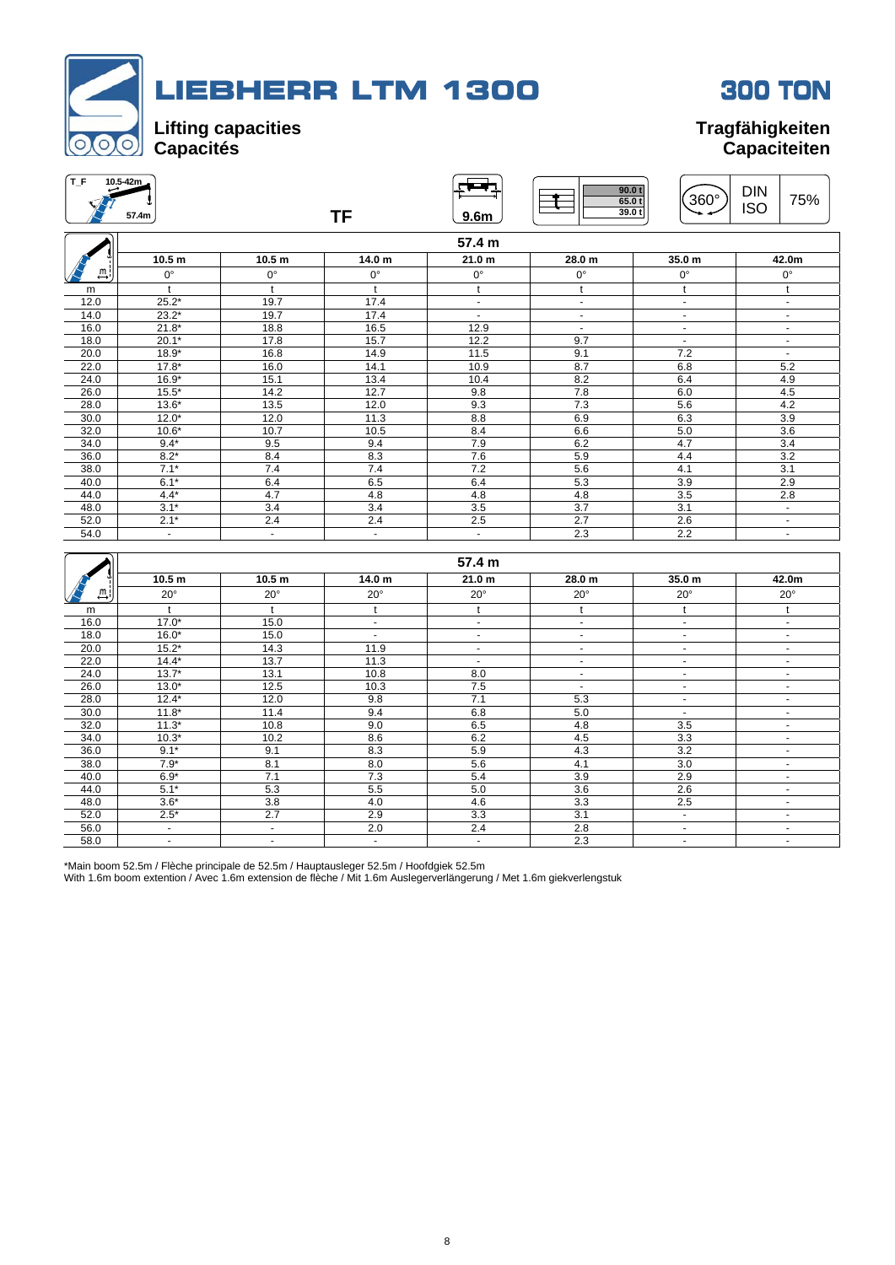

| T_F  | 10.5-42m          |                   |                |                   |                   |                             |                   |
|------|-------------------|-------------------|----------------|-------------------|-------------------|-----------------------------|-------------------|
|      |                   |                   |                |                   | 90.0 <sub>t</sub> |                             | <b>DIN</b>        |
|      |                   |                   |                |                   | 65.0t             | 360°                        | 75%<br><b>ISO</b> |
|      | 57.4m             |                   | <b>TF</b>      | 9.6 <sub>m</sub>  | 39.0 t            |                             |                   |
|      |                   |                   |                | 57.4 m            |                   |                             |                   |
|      | 10.5 <sub>m</sub> | 10.5 <sub>m</sub> | 14.0 m         | 21.0 m            | 28.0 m            | 35.0 <sub>m</sub>           | 42.0m             |
| m    | $0^{\circ}$       | $0^{\circ}$       | $0^{\circ}$    | $0^{\circ}$       | $0^{\circ}$       | $0^{\circ}$                 | 0°                |
| m    | t                 | $\mathbf{t}$      | $\mathbf{t}$   | $\mathbf{t}$      | t                 | t                           | t                 |
| 12.0 | $25.2*$           | 19.7              | 17.4           | $\omega$          | $\sim$            | $\mathcal{L}^{\mathcal{A}}$ | $\omega$          |
| 14.0 | $23.2*$           | 19.7              | 17.4           | $\mathbf{r}$      | $\mathbf{r}$      | $\omega$                    | $\blacksquare$    |
| 16.0 | $21.8*$           | 18.8              | 16.5           | 12.9              | $\mathbf{r}$      | $\omega$                    | $\blacksquare$    |
| 18.0 | $20.1*$           | 17.8              | 15.7           | 12.2              | 9.7               | $\blacksquare$              | $\blacksquare$    |
| 20.0 | $18.9*$           | 16.8              | 14.9           | 11.5              | 9.1               | 7.2                         | $\mathcal{L}$     |
| 22.0 | $17.8*$           | 16.0              | 14.1           | 10.9              | 8.7               | 6.8                         | 5.2               |
| 24.0 | $16.9*$           | 15.1              | 13.4           | 10.4              | 8.2               | 6.4                         | 4.9               |
| 26.0 | $15.5*$           | 14.2              | 12.7           | 9.8               | 7.8               | 6.0                         | 4.5               |
| 28.0 | $13.6*$           | 13.5              | 12.0           | 9.3               | 7.3               | 5.6                         | 4.2               |
| 30.0 | $12.0*$           | 12.0              | 11.3           | 8.8               | 6.9               | 6.3                         | 3.9               |
| 32.0 | $10.6*$           | 10.7              | 10.5           | 8.4               | 6.6               | 5.0                         | 3.6               |
| 34.0 | $9.4*$            | 9.5               | 9.4            | 7.9               | 6.2               | 4.7                         | 3.4               |
| 36.0 | $8.2*$            | 8.4               | 8.3            | 7.6               | 5.9               | 4.4                         | 3.2               |
| 38.0 | $7.1*$            | 7.4               | 7.4            | 7.2               | 5.6               | 4.1                         | $\overline{3.1}$  |
| 40.0 | $6.1*$            | 6.4               | 6.5            | 6.4               | 5.3               | 3.9                         | 2.9               |
| 44.0 | $4.4*$            | 4.7               | 4.8            | 4.8               | 4.8               | 3.5                         | 2.8               |
| 48.0 | $3.1*$            | 3.4               | 3.4            | 3.5               | $\overline{3.7}$  | 3.1                         | $\blacksquare$    |
| 52.0 | $2.1*$            | 2.4               | 2.4            | 2.5               | 2.7               | 2.6                         | $\sim$            |
| 54.0 | $\mathbf{r}$      | $\mathbf{r}$      | $\mathbf{r}$   | $\omega$          | 2.3               | 2.2                         | $\omega$          |
|      |                   |                   |                |                   |                   |                             |                   |
|      |                   |                   |                | 57.4 m            |                   |                             |                   |
|      | 10.5 <sub>m</sub> | 10.5 <sub>m</sub> | 14.0 m         | 21.0 <sub>m</sub> | 28.0 m            | 35.0 m                      | 42.0m             |
| m.   | $20^{\circ}$      | $20^{\circ}$      | $20^{\circ}$   | $20^{\circ}$      | $20^{\circ}$      | $20^{\circ}$                | $20^{\circ}$      |
| m    | $\mathbf{t}$      | t                 | $\mathsf{t}$   | t                 | t                 | t                           | t                 |
| 16.0 | $17.0*$           | 15.0              | $\blacksquare$ | $\mathbf{r}$      | $\mathbf{r}$      | $\omega$                    | $\omega$          |
| 18.0 | $16.0*$           | 15.0              | $\mathbf{r}$   | $\omega$          | $\omega$          | $\omega$                    | $\omega$          |
| 20.0 | $15.2*$           | 14.3              | 11.9           | $\omega$          | $\blacksquare$    | $\blacksquare$              | $\omega$          |
| 22.0 | $14.4*$           | 13.7              | 11.3           | $\omega$          | $\mathbf{r}$      | $\sim$                      | $\omega$          |
| 24.0 | $13.7*$           | 13.1              | 10.8           | 8.0               | $\sim$            | $\sim$                      | $\omega$          |
| 26.0 | $13.0*$           | 12.5              | 10.3           | 7.5               | $\blacksquare$    | $\omega$                    | $\mathbf{r}$      |
| 28.0 | $12.4*$           | 12.0              | 9.8            | 7.1               | 5.3               | $\blacksquare$              | $\blacksquare$    |
| 30.0 | $11.8*$           | 11.4              | 9.4            | 6.8               | 5.0               | $\sim$                      | $\omega$          |
| 32.0 | $11.3*$           | 10.8              | 9.0            | 6.5               | 4.8               | 3.5                         | $\blacksquare$    |
| 34.0 | $10.3*$           | 10.2              | 8.6            | 6.2               | 4.5               | 3.3                         | $\mathbf{r}$      |
| 36.0 | $9.1*$            | 9.1               | 8.3            | 5.9               | 4.3               | $\overline{3.2}$            | $\omega$          |
| 38.0 | $7.9*$            | 8.1               | 8.0            | 5.6               | 4.1               | 3.0                         | $\sim$            |
| 40.0 | $6.9*$            | 7.1               | 7.3            | 5.4               | $\overline{3.9}$  | 2.9                         | $\omega$          |
| 44.0 | $5.1*$            | 5.3               | 5.5            | 5.0               | 3.6               | 2.6                         | $\omega$          |
| 48.0 | $3.6*$            | 3.8               | 4.0            | 4.6               | $\overline{3.3}$  | 2.5                         | $\blacksquare$    |

52.0 2.5\* | 2.7 | 2.9 | 3.3 | 3.1 | - | -56.0 **- | - | 2.0 | 2.4 | 2.8 | - |** -58.0 - - - - 2.3 - -

\*Main boom 52.5m / Flèche principale de 52.5m / Hauptausleger 52.5m / Hoofdgiek 52.5m

With 1.6m boom extention / Avec 1.6m extension de flèche / Mit 1.6m Auslegerverlängerung / Met 1.6m giekverlengstuk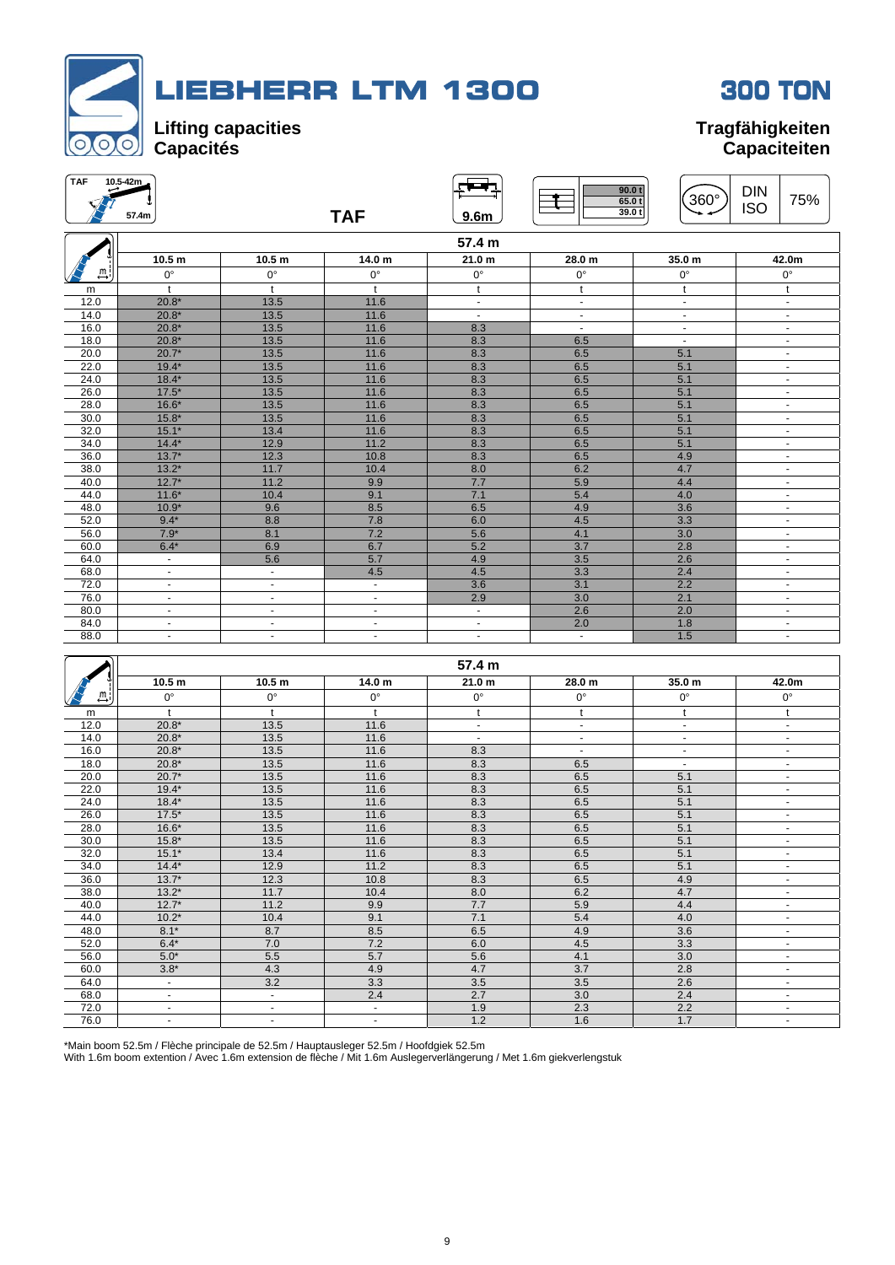



| <b>TAF</b>                  | 10.5-42m<br>57.4m        |                   | <b>TAF</b>               | 9.6 <sub>m</sub>         | 90.0 t<br>65.0t<br>39.0t | $360^\circ$    | <b>DIN</b><br>75%<br><b>ISO</b> |
|-----------------------------|--------------------------|-------------------|--------------------------|--------------------------|--------------------------|----------------|---------------------------------|
|                             |                          |                   |                          | 57.4 m                   |                          |                |                                 |
|                             | 10.5 <sub>m</sub>        | 10.5 <sub>m</sub> | 14.0 m                   | 21.0 <sub>m</sub>        | 28.0 m                   | 35.0 m         | 42.0m                           |
| $\stackrel{m}{\rightarrow}$ | $0^{\circ}$              | $0^{\circ}$       | $0^{\circ}$              | $0^{\circ}$              | $0^{\circ}$              | $0^{\circ}$    | $0^{\circ}$                     |
| m                           | $\ddagger$               | t                 | $^{\dagger}$             | $^{\dagger}$             | $\ddagger$               | t              | $\mathbf{t}$                    |
| 12.0                        | $20.8*$                  | 13.5              | 11.6                     | $\blacksquare$           | $\sim$                   | $\sim$         | $\sim$                          |
| 14.0                        | $20.8*$                  | 13.5              | 11.6                     | $\sim$                   | $\blacksquare$           | $\blacksquare$ | $\blacksquare$                  |
| 16.0                        | $20.8*$                  | 13.5              | 11.6                     | 8.3                      | $\sim$                   | $\blacksquare$ | $\blacksquare$                  |
| 18.0                        | $20.8*$                  | 13.5              | 11.6                     | 8.3                      | 6.5                      | $\blacksquare$ | $\blacksquare$                  |
| 20.0                        | $20.7*$                  | 13.5              | 11.6                     | 8.3                      | 6.5                      | 5.1            | $\blacksquare$                  |
| 22.0                        | $19.4*$                  | 13.5              | 11.6                     | 8.3                      | 6.5                      | 5.1            | $\sim$                          |
| 24.0                        | $18.4*$                  | 13.5              | 11.6                     | 8.3                      | 6.5                      | 5.1            | $\blacksquare$                  |
| 26.0                        | $17.5*$                  | 13.5              | 11.6                     | 8.3                      | 6.5                      | 5.1            | $\blacksquare$                  |
| 28.0                        | $16.6*$                  | 13.5              | 11.6                     | 8.3                      | 6.5                      | 5.1            | $\blacksquare$                  |
| 30.0                        | $15.8*$                  | 13.5              | 11.6                     | 8.3                      | 6.5                      | 5.1            | $\blacksquare$                  |
| 32.0                        | $15.1*$                  | 13.4              | 11.6                     | 8.3                      | 6.5                      | 5.1            | $\blacksquare$                  |
| 34.0                        | $14.4*$                  | 12.9              | 11.2                     | 8.3                      | 6.5                      | 5.1            | $\blacksquare$                  |
| 36.0                        | $13.7*$                  | 12.3              | 10.8                     | 8.3                      | 6.5                      | 4.9            | $\blacksquare$                  |
| 38.0                        | $13.2*$                  | 11.7              | 10.4                     | 8.0                      | 6.2                      | 4.7            | $\blacksquare$                  |
| 40.0                        | $12.7*$                  | 11.2              | 9.9                      | 7.7                      | 5.9                      | 4.4            | $\blacksquare$                  |
| 44.0                        | $11.6*$                  | 10.4              | 9.1                      | 7.1                      | 5.4                      | 4.0            | $\blacksquare$                  |
| 48.0                        | $10.9*$                  | 9.6               | 8.5                      | 6.5                      | 4.9                      | 3.6            | $\blacksquare$                  |
| 52.0                        | $9.4*$                   | 8.8               | 7.8                      | 6.0                      | 4.5                      | 3.3            | $\blacksquare$                  |
| 56.0                        | $7.9*$                   | 8.1               | 7.2                      | 5.6                      | 4.1                      | 3.0            | $\blacksquare$                  |
| 60.0                        | $6.4*$                   | 6.9               | 6.7                      | 5.2                      | 3.7                      | 2.8            | $\blacksquare$                  |
| 64.0                        | $\blacksquare$           | 5.6               | 5.7                      | 4.9                      | 3.5                      | 2.6            | $\blacksquare$                  |
| 68.0                        | $\overline{\phantom{a}}$ | $\blacksquare$    | 4.5                      | 4.5                      | 3.3                      | 2.4            | $\blacksquare$                  |
| 72.0                        | $\blacksquare$           | $\blacksquare$    | $\blacksquare$           | 3.6                      | 3.1                      | 2.2            | $\blacksquare$                  |
| 76.0                        | $\blacksquare$           | ٠                 | $\blacksquare$           | 2.9                      | 3.0                      | 2.1            | $\overline{\phantom{a}}$        |
| 80.0                        | $\blacksquare$           | $\blacksquare$    | $\blacksquare$           | $\blacksquare$           | 2.6                      | 2.0            | $\blacksquare$                  |
| 84.0                        | ٠                        | ٠                 | $\overline{\phantom{a}}$ | $\overline{\phantom{a}}$ | 2.0                      | 1.8            | $\overline{\phantom{a}}$        |
| 88.0                        | ٠                        | ٠                 | ٠                        | $\blacksquare$           | $\sim$                   | 1.5            | $\blacksquare$                  |

|               |                   |                   |                | 57.4 m            |                |                |                          |
|---------------|-------------------|-------------------|----------------|-------------------|----------------|----------------|--------------------------|
|               | 10.5 <sub>m</sub> | 10.5 <sub>m</sub> | 14.0 m         | 21.0 <sub>m</sub> | 28.0 m         | 35.0 m         | 42.0m                    |
| . <u>m</u> .l | $0^{\circ}$       | $0^{\circ}$       | $0^{\circ}$    | $0^{\circ}$       | $0^{\circ}$    | $0^{\circ}$    | $0^{\circ}$              |
| m             |                   | t                 |                | t                 | t              |                | t                        |
| 12.0          | $20.8*$           | 13.5              | 11.6           | $\blacksquare$    | $\blacksquare$ | $\sim$         | $\blacksquare$           |
| 14.0          | $20.8*$           | 13.5              | 11.6           | $\sim$            | $\sim$         | ٠              | $\blacksquare$           |
| 16.0          | $20.8*$           | 13.5              | 11.6           | 8.3               | $\blacksquare$ | $\blacksquare$ | $\blacksquare$           |
| 18.0          | $20.8*$           | 13.5              | 11.6           | 8.3               | 6.5            | $\blacksquare$ | ٠                        |
| 20.0          | $20.7*$           | 13.5              | 11.6           | 8.3               | 6.5            | 5.1            | $\blacksquare$           |
| 22.0          | $19.4*$           | 13.5              | 11.6           | 8.3               | 6.5            | 5.1            | ٠                        |
| 24.0          | $18.4*$           | 13.5              | 11.6           | 8.3               | 6.5            | 5.1            | ٠                        |
| 26.0          | $17.5*$           | 13.5              | 11.6           | 8.3               | 6.5            | 5.1            | $\blacksquare$           |
| 28.0          | $16.6*$           | 13.5              | 11.6           | 8.3               | 6.5            | 5.1            | $\blacksquare$           |
| 30.0          | $15.8*$           | 13.5              | 11.6           | 8.3               | 6.5            | 5.1            | $\overline{\phantom{a}}$ |
| 32.0          | $15.1*$           | 13.4              | 11.6           | 8.3               | 6.5            | 5.1            | $\blacksquare$           |
| 34.0          | $14.4*$           | 12.9              | 11.2           | 8.3               | 6.5            | 5.1            | $\blacksquare$           |
| 36.0          | $13.7*$           | 12.3              | 10.8           | 8.3               | 6.5            | 4.9            | $\overline{\phantom{a}}$ |
| 38.0          | $13.2*$           | 11.7              | 10.4           | 8.0               | 6.2            | 4.7            | ٠                        |
| 40.0          | $12.7*$           | 11.2              | 9.9            | 7.7               | 5.9            | 4.4            | $\sim$                   |
| 44.0          | $10.2*$           | 10.4              | 9.1            | 7.1               | 5.4            | 4.0            | $\blacksquare$           |
| 48.0          | $8.1*$            | 8.7               | 8.5            | 6.5               | 4.9            | 3.6            | ٠                        |
| 52.0          | $6.4*$            | 7.0               | 7.2            | 6.0               | 4.5            | 3.3            | $\overline{\phantom{a}}$ |
| 56.0          | $5.0*$            | 5.5               | 5.7            | 5.6               | 4.1            | 3.0            | $\sim$                   |
| 60.0          | $3.8*$            | 4.3               | 4.9            | 4.7               | 3.7            | 2.8            | $\sim$                   |
| 64.0          | $\blacksquare$    | 3.2               | 3.3            | 3.5               | 3.5            | 2.6            | $\blacksquare$           |
| 68.0          | ٠                 | $\blacksquare$    | 2.4            | 2.7               | 3.0            | 2.4            | $\blacksquare$           |
| 72.0          | ٠                 | $\blacksquare$    | $\blacksquare$ | 1.9               | 2.3            | 2.2            | $\overline{a}$           |
| 76.0          | ٠                 | $\sim$            | ٠              | 1.2               | 1.6            | 1.7            | $\blacksquare$           |

\*Main boom 52.5m / Flèche principale de 52.5m / Hauptausleger 52.5m / Hoofdgiek 52.5m

With 1.6m boom extention / Avec 1.6m extension de flèche / Mit 1.6m Auslegerverlängerung / Met 1.6m giekverlengstuk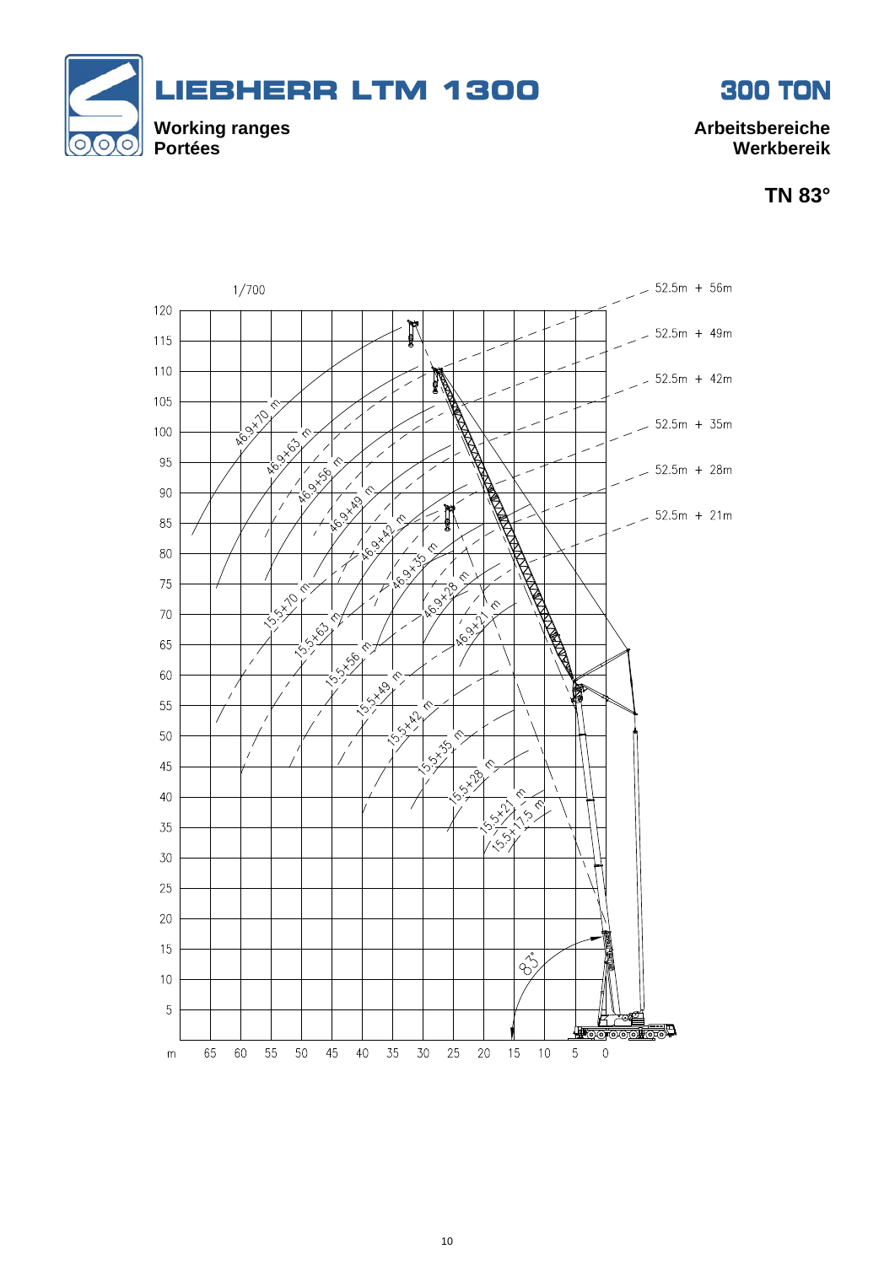

**TN 83°** 

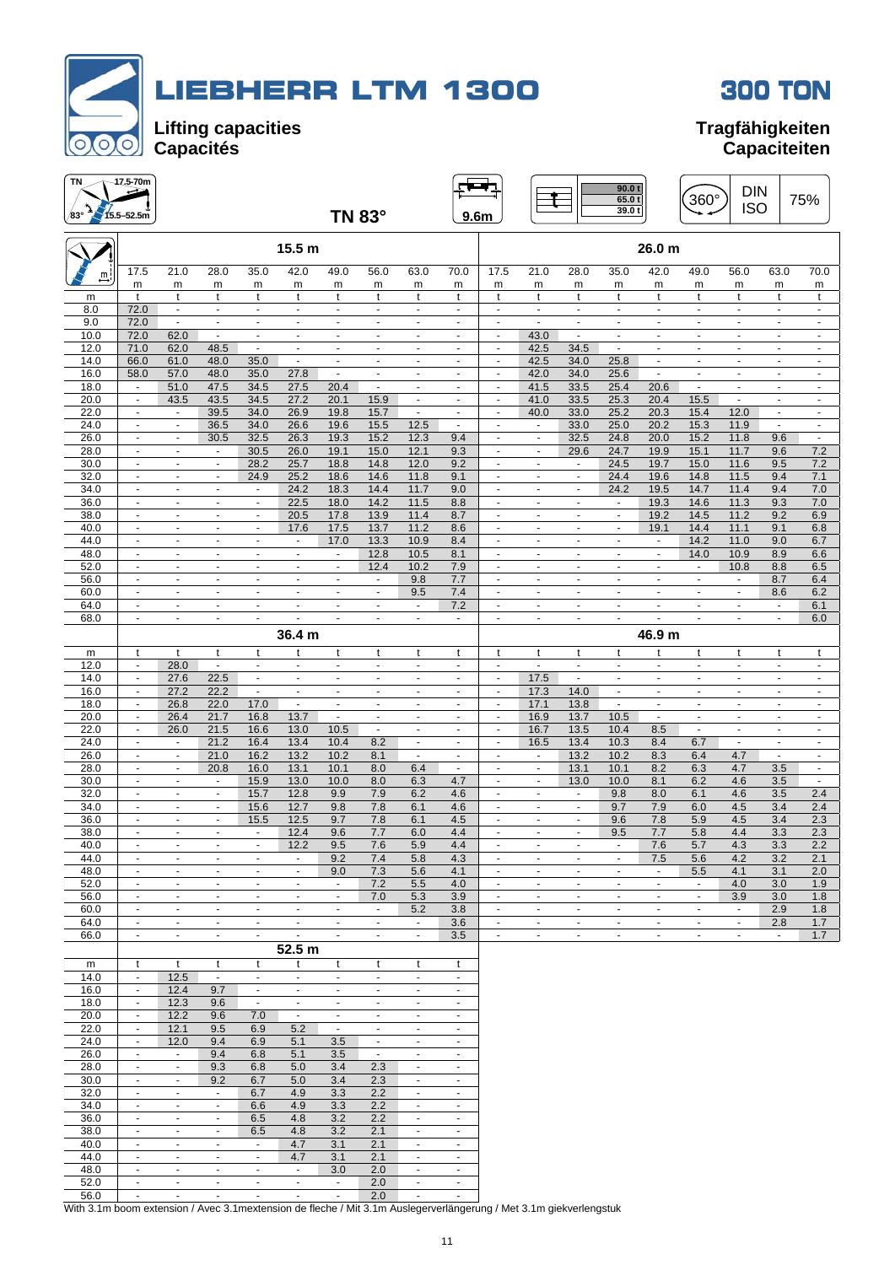



| ΤN           | 47,5-70m                                             |                                                      |                                                      |                                                      |                                            |                                            |                                            |                                            |                                            |                                            |                                                      |                                                      | 90.0 t<br>65.0 t<br>39.0 t                 |                                            | 360°                                       | <b>DIN</b><br><b>ISO</b>                             |                                            | 75%                                  |
|--------------|------------------------------------------------------|------------------------------------------------------|------------------------------------------------------|------------------------------------------------------|--------------------------------------------|--------------------------------------------|--------------------------------------------|--------------------------------------------|--------------------------------------------|--------------------------------------------|------------------------------------------------------|------------------------------------------------------|--------------------------------------------|--------------------------------------------|--------------------------------------------|------------------------------------------------------|--------------------------------------------|--------------------------------------|
| /83°         | $15.5 - 52.5m$                                       |                                                      |                                                      |                                                      |                                            |                                            | <b>TN 83°</b>                              |                                            | 9.6 <sub>m</sub>                           |                                            |                                                      |                                                      |                                            |                                            |                                            |                                                      |                                            |                                      |
|              |                                                      |                                                      |                                                      |                                                      | 15.5 m                                     |                                            |                                            |                                            |                                            |                                            |                                                      |                                                      |                                            | 26.0 m                                     |                                            |                                                      |                                            |                                      |
| щi           | 17.5                                                 | 21.0                                                 | 28.0                                                 | 35.0                                                 | 42.0                                       | 49.0                                       | 56.0                                       | 63.0                                       | 70.0                                       | 17.5                                       | 21.0                                                 | 28.0                                                 | 35.0                                       | 42.0                                       | 49.0                                       | 56.0                                                 | 63.0                                       | 70.0                                 |
| m            | m<br>t                                               | m<br>t                                               | m<br>t                                               | m<br>t                                               | m<br>t                                     | m<br>t                                     | m<br>t                                     | m<br>t                                     | m<br>t                                     | m<br>t                                     | m<br>t                                               | m<br>t                                               | m<br>t                                     | m<br>t                                     | m<br>t                                     | m<br>t                                               | m<br>t                                     | m<br>t                               |
| 8.0<br>9.0   | 72.0<br>72.0                                         | $\blacksquare$<br>$\blacksquare$                     | $\blacksquare$<br>$\sim$                             | $\blacksquare$<br>$\blacksquare$                     | $\overline{\phantom{a}}$<br>$\blacksquare$ | $\blacksquare$<br>$\blacksquare$           | $\blacksquare$<br>$\overline{\phantom{a}}$ | $\blacksquare$<br>$\overline{\phantom{a}}$ | $\blacksquare$<br>$\blacksquare$           | $\blacksquare$<br>$\blacksquare$           | $\blacksquare$<br>$\blacksquare$                     | $\blacksquare$<br>$\blacksquare$                     | $\blacksquare$<br>$\overline{\phantom{a}}$ | $\blacksquare$<br>÷,                       | $\blacksquare$<br>÷,                       | $\overline{\phantom{a}}$<br>$\overline{\phantom{a}}$ | $\overline{\phantom{a}}$<br>$\blacksquare$ | $\blacksquare$<br>$\blacksquare$     |
| 10.0         | 72.0                                                 | 62.0                                                 | ÷,                                                   | $\overline{\phantom{a}}$                             | ÷,                                         | ÷,                                         | $\overline{\phantom{a}}$                   | $\overline{a}$                             |                                            | ÷,                                         | 43.0                                                 | $\overline{a}$                                       | $\blacksquare$                             | ÷,                                         |                                            |                                                      |                                            |                                      |
| 12.0<br>14.0 | 71.0<br>66.0                                         | 62.0<br>61.0                                         | 48.5<br>48.0                                         | $\blacksquare$<br>35.0                               | $\mathbf{r}$<br>$\sim$                     | $\mathbf{r}$<br>$\sim$                     | $\sim$<br>$\sim$                           | $\blacksquare$<br>$\blacksquare$           | $\blacksquare$<br>$\sim$                   | $\blacksquare$<br>$\sim$                   | 42.5<br>42.5                                         | 34.5<br>34.0                                         | $\blacksquare$<br>25.8                     | $\mathbf{r}$<br>$\blacksquare$             | $\blacksquare$<br>$\blacksquare$           | $\overline{a}$<br>$\sim$                             | $\overline{a}$<br>$\blacksquare$           | $\blacksquare$<br>$\mathbf{r}$       |
| 16.0         | 58.0                                                 | 57.0                                                 | 48.0                                                 | 35.0                                                 | 27.8                                       | $\blacksquare$                             | $\sim$                                     | $\sim$                                     | $\sim$                                     | $\sim$                                     | 42.0                                                 | 34.0                                                 | 25.6                                       | $\omega$                                   | $\blacksquare$                             | $\sim$                                               | $\blacksquare$                             | $\sim$                               |
| 18.0<br>20.0 | $\overline{\phantom{a}}$<br>$\blacksquare$           | 51.0<br>43.5                                         | 47.5<br>43.5                                         | 34.5<br>34.5                                         | 27.5<br>27.2                               | 20.4<br>20.1                               | $\overline{\phantom{a}}$<br>15.9           | $\overline{\phantom{a}}$<br>$\blacksquare$ | $\blacksquare$<br>$\overline{\phantom{a}}$ | $\blacksquare$<br>$\overline{\phantom{a}}$ | 41.5<br>41.0                                         | 33.5<br>33.5                                         | 25.4<br>25.3                               | 20.6<br>20.4                               | $\overline{\phantom{a}}$<br>15.5           | ٠<br>$\blacksquare$                                  | $\blacksquare$<br>$\overline{\phantom{a}}$ | $\blacksquare$<br>$\sim$             |
| 22.0         | $\overline{\phantom{a}}$                             | $\blacksquare$                                       | 39.5                                                 | 34.0                                                 | 26.9                                       | 19.8                                       | 15.7                                       | $\blacksquare$                             | $\blacksquare$                             | $\blacksquare$                             | 40.0                                                 | 33.0                                                 | 25.2                                       | 20.3                                       | 15.4                                       | 12.0                                                 | $\overline{\phantom{a}}$                   | $\blacksquare$                       |
| 24.0<br>26.0 | $\overline{a}$<br>$\omega$                           | $\overline{\phantom{a}}$<br>$\mathbf{r}$             | 36.5<br>30.5                                         | 34.0<br>32.5                                         | 26.6<br>26.3                               | 19.6<br>19.3                               | 15.5<br>15.2                               | 12.5<br>12.3                               | 9.4                                        | $\overline{a}$<br>$\overline{\phantom{a}}$ | $\blacksquare$                                       | 33.0<br>32.5                                         | 25.0<br>24.8                               | 20.2<br>20.0                               | 15.3<br>15.2                               | 11.9<br>11.8                                         | 9.6                                        | $\sim$                               |
| 28.0         | $\sim$                                               | $\blacksquare$                                       | $\blacksquare$                                       | 30.5                                                 | 26.0                                       | 19.1                                       | 15.0                                       | 12.1                                       | 9.3                                        | $\blacksquare$                             | $\overline{\phantom{a}}$                             | 29.6                                                 | 24.7                                       | 19.9                                       | 15.1                                       | 11.7                                                 | 9.6                                        | 7.2                                  |
| 30.0<br>32.0 | $\overline{\phantom{a}}$<br>$\overline{\phantom{a}}$ | $\overline{\phantom{a}}$<br>$\blacksquare$           | $\blacksquare$<br>$\overline{\phantom{a}}$           | 28.2<br>24.9                                         | 25.7<br>25.2                               | 18.8<br>18.6                               | 14.8<br>14.6                               | 12.0<br>11.8                               | 9.2<br>9.1                                 | $\blacksquare$<br>$\blacksquare$           | $\overline{\phantom{a}}$<br>$\blacksquare$           | $\overline{\phantom{a}}$<br>$\overline{\phantom{a}}$ | 24.5<br>24.4                               | 19.7<br>19.6                               | 15.0<br>14.8                               | 11.6<br>11.5                                         | 9.5<br>9.4                                 | 7.2<br>7.1                           |
| 34.0         | $\overline{\phantom{a}}$                             | $\blacksquare$                                       | $\blacksquare$                                       | $\blacksquare$                                       | 24.2                                       | 18.3                                       | 14.4                                       | 11.7                                       | 9.0                                        | $\blacksquare$                             | $\blacksquare$                                       | $\blacksquare$                                       | 24.2                                       | 19.5                                       | 14.7                                       | 11.4                                                 | 9.4                                        | 7.0                                  |
| 36.0<br>38.0 | $\blacksquare$<br>$\sim$                             | $\overline{\phantom{a}}$<br>$\sim$                   | $\blacksquare$<br>$\blacksquare$                     | $\overline{\phantom{a}}$<br>$\blacksquare$           | 22.5<br>20.5                               | 18.0<br>17.8                               | 14.2<br>13.9                               | 11.5<br>11.4                               | 8.8<br>8.7                                 | $\blacksquare$<br>$\mathbf{r}$             | $\overline{\phantom{a}}$<br>$\sim$                   | $\overline{\phantom{a}}$<br>$\overline{\phantom{a}}$ | $\overline{\phantom{a}}$<br>$\blacksquare$ | 19.3<br>19.2                               | 14.6<br>14.5                               | 11.3<br>11.2                                         | 9.3<br>9.2                                 | 7.0<br>6.9                           |
| 40.0         | $\sim$                                               | $\mathbf{r}$                                         | $\blacksquare$                                       | $\blacksquare$                                       | 17.6                                       | 17.5                                       | 13.7                                       | 11.2                                       | 8.6                                        | $\omega$                                   | $\blacksquare$                                       | $\blacksquare$                                       | $\blacksquare$                             | 19.1                                       | 14.4                                       | 11.1                                                 | 9.1                                        | 6.8                                  |
| 44.0<br>48.0 | $\sim$<br>$\overline{\phantom{a}}$                   | $\blacksquare$<br>$\overline{\phantom{a}}$           | $\sim$<br>$\blacksquare$                             | $\overline{\phantom{a}}$<br>$\overline{\phantom{a}}$ | $\blacksquare$<br>$\blacksquare$           | 17.0<br>$\blacksquare$                     | 13.3<br>12.8                               | 10.9<br>10.5                               | 8.4<br>8.1                                 | $\overline{\phantom{a}}$<br>$\blacksquare$ | $\overline{\phantom{a}}$<br>$\overline{\phantom{a}}$ | $\overline{\phantom{a}}$<br>$\overline{\phantom{a}}$ | $\sim$<br>$\overline{\phantom{a}}$         | $\blacksquare$<br>$\blacksquare$           | 14.2<br>14.0                               | 11.0<br>10.9                                         | 9.0<br>8.9                                 | 6.7<br>6.6                           |
| 52.0         | $\blacksquare$                                       | $\blacksquare$                                       | $\blacksquare$                                       | $\blacksquare$                                       | $\blacksquare$                             | $\sim$                                     | 12.4                                       | 10.2                                       | 7.9                                        | $\blacksquare$                             | $\overline{\phantom{a}}$                             | ٠                                                    | $\blacksquare$                             | $\sim$                                     | $\blacksquare$                             | 10.8                                                 | 8.8                                        | 6.5                                  |
| 56.0<br>60.0 | $\sim$                                               | $\overline{\phantom{a}}$<br>$\overline{\phantom{a}}$ | $\sim$                                               | $\blacksquare$                                       | $\sim$<br>$\overline{a}$                   | $\blacksquare$<br>$\overline{\phantom{a}}$ | $\blacksquare$<br>$\overline{\phantom{a}}$ | 9.8<br>9.5                                 | 7.7<br>7.4                                 | $\overline{\phantom{a}}$<br>÷,             | $\blacksquare$<br>$\overline{\phantom{a}}$           | $\blacksquare$<br>$\overline{\phantom{0}}$           | $\sim$<br>$\overline{\phantom{a}}$         | $\sim$<br>$\overline{a}$                   | $\blacksquare$                             | $\blacksquare$                                       | 8.7<br>8.6                                 | 6.4<br>6.2                           |
| 64.0         | $\sim$                                               | $\sim$                                               | $\sim$                                               | ÷                                                    | $\overline{a}$                             | $\mathbf{r}$                               | $\blacksquare$                             | $\blacksquare$                             | 7.2                                        | $\blacksquare$                             | $\blacksquare$                                       | ÷.                                                   | $\blacksquare$                             | ÷.                                         | $\blacksquare$                             | ÷.                                                   | $\sim$                                     | 6.1                                  |
| 68.0         | $\sim$                                               | $\blacksquare$                                       | $\mathbf{r}$                                         | $\blacksquare$                                       | $\blacksquare$<br>36.4 m                   | $\blacksquare$                             | $\sim$                                     | $\blacksquare$                             | $\sim$                                     | $\omega$                                   | $\blacksquare$                                       | $\blacksquare$                                       | $\blacksquare$                             | 46.9 m                                     | $\mathbf{r}$                               | $\overline{a}$                                       | $\overline{a}$                             | 6.0                                  |
| m            | t                                                    | t                                                    | t                                                    | t                                                    | t                                          | t                                          | t                                          | t                                          | t                                          | t                                          | t                                                    | t                                                    | t                                          | t                                          | t                                          | t                                                    | t                                          | t                                    |
| 12.0         | $\sim$                                               | 28.0                                                 | $\blacksquare$                                       | $\blacksquare$                                       | $\sim$                                     | $\sim$                                     | $\blacksquare$                             | $\blacksquare$                             | $\sim$                                     | $\sim$                                     | $\mathbf{r}$                                         | $\blacksquare$                                       | $\blacksquare$                             | $\sim$                                     | $\blacksquare$                             | $\sim$                                               | $\blacksquare$                             | $\sim$                               |
| 14.0<br>16.0 | $\overline{\phantom{a}}$                             | 27.6<br>27.2                                         | 22.5<br>22.2                                         | $\frac{1}{2}$<br>$\overline{\phantom{a}}$            | $\blacksquare$<br>÷,                       | $\blacksquare$<br>$\overline{a}$           | $\blacksquare$                             | $\blacksquare$<br>$\overline{a}$           | $\overline{\phantom{a}}$                   | $\blacksquare$<br>÷,                       | 17.5<br>17.3                                         | $\frac{1}{2}$<br>14.0                                | $\blacksquare$<br>$\overline{\phantom{a}}$ | $\blacksquare$<br>÷,                       | $\blacksquare$                             | $\overline{\phantom{a}}$                             | $\blacksquare$                             | $\blacksquare$                       |
| 18.0         | $\sim$                                               | 26.8                                                 | 22.0                                                 | 17.0                                                 | $\mathbf{r}$                               | $\mathbf{r}$                               | $\overline{a}$                             | $\blacksquare$                             | $\overline{a}$                             | $\sim$                                     | 17.1                                                 | 13.8                                                 | $\sim$                                     | $\mathbf{r}$                               | $\overline{a}$                             | $\overline{a}$                                       | $\overline{a}$                             | ÷.                                   |
| 20.0<br>22.0 | $\blacksquare$<br>$\blacksquare$                     | 26.4<br>26.0                                         | 21.7<br>21.5                                         | 16.8<br>16.6                                         | 13.7<br>13.0                               | $\blacksquare$<br>10.5                     | $\sim$<br>$\blacksquare$                   | $\sim$<br>÷,                               | $\tilde{\phantom{a}}$<br>$\blacksquare$    | $\blacksquare$<br>÷,                       | 16.9<br>16.7                                         | 13.7<br>13.5                                         | 10.5<br>10.4                               | $\omega$<br>8.5                            | $\blacksquare$<br>$\blacksquare$           | $\blacksquare$<br>$\overline{\phantom{a}}$           | $\blacksquare$                             | $\omega$<br>$\overline{\phantom{a}}$ |
| 24.0         | $\blacksquare$                                       | $\blacksquare$                                       | 21.2                                                 | 16.4                                                 | 13.4                                       | 10.4                                       | 8.2                                        | $\blacksquare$                             | $\blacksquare$                             | $\blacksquare$                             | 16.5                                                 | 13.4                                                 | 10.3                                       | 8.4                                        | 6.7                                        | $\blacksquare$                                       | $\overline{\phantom{a}}$                   | $\sim$                               |
| 26.0<br>28.0 | $\sim$<br>$\overline{\phantom{a}}$                   | $\overline{\phantom{a}}$<br>$\blacksquare$           | 21.0<br>20.8                                         | 16.2<br>16.0                                         | 13.2<br>13.1                               | 10.2<br>10.1                               | 8.1<br>8.0                                 | $\sim$<br>6.4                              | $\blacksquare$<br>$\blacksquare$           | $\overline{\phantom{a}}$<br>$\blacksquare$ | $\blacksquare$<br>$\blacksquare$                     | 13.2<br>13.1                                         | 10.2<br>10.1                               | 8.3<br>8.2                                 | 6.4<br>6.3                                 | 4.7<br>4.7                                           | $\sim$<br>3.5                              | $\sim$<br>$\blacksquare$             |
| 30.0         |                                                      |                                                      | $\blacksquare$                                       | 15.9                                                 | 13.0                                       | 10.0                                       | 8.0                                        | 6.3                                        | 4.7                                        | ÷,                                         | ä,                                                   | 13.0                                                 | 10.0                                       | 8.1                                        | 6.2                                        | 4.6                                                  | 3.5                                        |                                      |
| 32.0<br>34.0 | $\sim$<br>$\sim$                                     | $\blacksquare$<br>$\mathbf{r}$                       | $\blacksquare$<br>$\blacksquare$                     | 15.7<br>15.6                                         | 12.8<br>12.7                               | 9.9<br>9.8                                 | 7.9<br>7.8                                 | 6.2<br>6.1                                 | 4.6<br>4.6                                 | $\sim$<br>$\blacksquare$                   | $\blacksquare$<br>$\blacksquare$                     | $\blacksquare$<br>$\blacksquare$                     | 9.8<br>9.7                                 | 8.0<br>7.9                                 | 6.1<br>6.0                                 | 4.6<br>4.5                                           | 3.5<br>3.4                                 | 2.4<br>2.4                           |
| 36.0         | $\overline{\phantom{a}}$                             |                                                      | $\blacksquare$                                       | 15.5                                                 | 12.5                                       | 9.7                                        | 7.8                                        | 6.1                                        | 4.5                                        | $\blacksquare$                             | $\overline{\phantom{a}}$                             | $\overline{\phantom{a}}$                             | 9.6                                        | 7.8                                        | 5.9                                        | 4.5                                                  | 3.4                                        | 2.3                                  |
| 38.0<br>40.0 | $\blacksquare$                                       | $\blacksquare$<br>$\overline{\phantom{a}}$           | $\blacksquare$<br>$\blacksquare$                     | $\blacksquare$<br>$\overline{\phantom{a}}$           | 12.4<br>12.2                               | 9.6<br>9.5                                 | 7.7<br>7.6                                 | 6.0<br>5.9                                 | 4.4<br>4.4                                 | $\blacksquare$<br>÷,                       | $\blacksquare$<br>$\sim$                             | $\overline{\phantom{a}}$<br>$\frac{1}{2}$            | 9.5<br>$\overline{\phantom{a}}$            | 7.7<br>7.6                                 | 5.8<br>5.7                                 | 4.4<br>4.3                                           | 3.3<br>3.3                                 | 2.3<br>2.2                           |
| 44.0         |                                                      |                                                      |                                                      |                                                      | $\overline{\phantom{a}}$                   | 9.2                                        | 7.4                                        | 5.8                                        | 4.3                                        |                                            |                                                      | $\overline{\phantom{a}}$                             | $\overline{\phantom{a}}$                   | 7.5                                        | 5.6                                        | 4.2                                                  | 3.2                                        | 2.1                                  |
| 48.0<br>52.0 | $\blacksquare$<br>$\overline{\phantom{a}}$           | $\blacksquare$<br>$\blacksquare$                     | $\blacksquare$<br>$\sim$                             | $\blacksquare$<br>$\overline{\phantom{a}}$           | $\overline{\phantom{a}}$<br>$\blacksquare$ | 9.0<br>$\blacksquare$                      | 7.3<br>7.2                                 | 5.6<br>5.5                                 | 4.1<br>4.0                                 | $\blacksquare$<br>$\mathbf{r}$             | $\overline{\phantom{a}}$<br>$\overline{\phantom{a}}$ | $\overline{\phantom{a}}$<br>$\overline{\phantom{a}}$ | $\overline{\phantom{a}}$<br>$\blacksquare$ | $\blacksquare$<br>$\blacksquare$           | 5.5<br>$\blacksquare$                      | 4.1<br>4.0                                           | 3.1<br>3.0                                 | 2.0<br>1.9                           |
| 56.0         | $\blacksquare$                                       | $\blacksquare$                                       | $\blacksquare$                                       | $\overline{\phantom{a}}$                             | $\blacksquare$                             | $\blacksquare$                             | 7.0                                        | 5.3                                        | 3.9                                        | $\blacksquare$                             | $\overline{\phantom{a}}$                             | $\overline{\phantom{a}}$                             | $\blacksquare$                             | $\blacksquare$                             | $\overline{\phantom{a}}$                   | 3.9                                                  | 3.0                                        | 1.8                                  |
| 60.0<br>64.0 | $\blacksquare$                                       | $\sim$                                               | $\blacksquare$                                       | $\overline{\phantom{a}}$<br>$\blacksquare$           | $\blacksquare$                             | $\blacksquare$<br>$\sim$                   | $\blacksquare$<br>$\sim$                   | 5.2<br>$\sim$                              | 3.8<br>3.6                                 | $\blacksquare$<br>$\blacksquare$           | $\overline{\phantom{a}}$<br>$\blacksquare$           | $\overline{\phantom{a}}$<br>$\blacksquare$           | $\sim$                                     | $\overline{\phantom{a}}$<br>$\blacksquare$ | $\overline{\phantom{a}}$<br>$\blacksquare$ | $\blacksquare$<br>$\blacksquare$                     | 2.9<br>2.8                                 | 1.8<br>1.7                           |
| 66.0         | $\blacksquare$                                       | $\blacksquare$                                       | $\blacksquare$                                       | $\overline{\phantom{a}}$                             | $\blacksquare$                             | $\blacksquare$                             | $\blacksquare$                             | $\blacksquare$                             | 3.5                                        | $\blacksquare$                             | $\blacksquare$                                       | $\blacksquare$                                       | $\blacksquare$                             | $\blacksquare$                             | $\blacksquare$                             | $\blacksquare$                                       |                                            | 1.7                                  |
| m            | t                                                    | t                                                    | t                                                    | t                                                    | 52.5 m<br>t                                | t                                          | t                                          | t                                          | t                                          |                                            |                                                      |                                                      |                                            |                                            |                                            |                                                      |                                            |                                      |
| 14.0         | $\blacksquare$                                       | 12.5                                                 | $\blacksquare$                                       | $\blacksquare$                                       | $\blacksquare$                             | $\blacksquare$                             | $\blacksquare$                             | $\blacksquare$                             | $\blacksquare$                             |                                            |                                                      |                                                      |                                            |                                            |                                            |                                                      |                                            |                                      |
| 16.0<br>18.0 | $\blacksquare$<br>$\blacksquare$                     | 12.4<br>12.3                                         | 9.7<br>9.6                                           | $\overline{\phantom{a}}$<br>$\blacksquare$           | $\blacksquare$<br>$\blacksquare$           | $\sim$<br>$\blacksquare$                   | $\blacksquare$<br>$\blacksquare$           | $\blacksquare$<br>$\overline{\phantom{a}}$ | $\overline{\phantom{a}}$<br>$\blacksquare$ |                                            |                                                      |                                                      |                                            |                                            |                                            |                                                      |                                            |                                      |
| 20.0         | $\overline{a}$                                       | 12.2                                                 | 9.6                                                  | 7.0                                                  |                                            | $\blacksquare$                             | $\overline{\phantom{a}}$                   |                                            |                                            |                                            |                                                      |                                                      |                                            |                                            |                                            |                                                      |                                            |                                      |
| 22.0<br>24.0 | $\blacksquare$<br>$\blacksquare$                     | 12.1<br>12.0                                         | 9.5<br>9.4                                           | 6.9<br>6.9                                           | 5.2<br>5.1                                 | $\blacksquare$<br>3.5                      | $\blacksquare$<br>$\blacksquare$           | $\blacksquare$<br>$\blacksquare$           | $\blacksquare$<br>$\blacksquare$           |                                            |                                                      |                                                      |                                            |                                            |                                            |                                                      |                                            |                                      |
| 26.0         | $\overline{\phantom{a}}$                             | $\blacksquare$                                       | 9.4                                                  | 6.8                                                  | 5.1                                        | 3.5                                        | $\blacksquare$                             | $\overline{\phantom{a}}$                   | $\overline{\phantom{a}}$                   |                                            |                                                      |                                                      |                                            |                                            |                                            |                                                      |                                            |                                      |
| 28.0<br>30.0 | $\blacksquare$<br>$\blacksquare$                     | $\blacksquare$<br>$\overline{\phantom{a}}$           | 9.3<br>9.2                                           | 6.8<br>6.7                                           | 5.0<br>5.0                                 | 3.4<br>3.4                                 | 2.3<br>2.3                                 | $\blacksquare$<br>$\overline{\phantom{a}}$ | $\blacksquare$<br>$\overline{\phantom{a}}$ |                                            |                                                      |                                                      |                                            |                                            |                                            |                                                      |                                            |                                      |
| 32.0         | $\blacksquare$                                       | $\blacksquare$                                       | $\blacksquare$                                       | 6.7                                                  | 4.9                                        | 3.3                                        | 2.2                                        | $\overline{\phantom{a}}$                   | $\blacksquare$                             |                                            |                                                      |                                                      |                                            |                                            |                                            |                                                      |                                            |                                      |
| 34.0<br>36.0 | $\overline{a}$<br>$\blacksquare$                     | $\overline{\phantom{a}}$<br>$\overline{a}$           | $\overline{\phantom{a}}$<br>$\blacksquare$           | 6.6<br>6.5                                           | 4.9<br>4.8                                 | 3.3<br>3.2                                 | 2.2<br>2.2                                 | $\overline{\phantom{a}}$<br>$\blacksquare$ | $\blacksquare$                             |                                            |                                                      |                                                      |                                            |                                            |                                            |                                                      |                                            |                                      |
| 38.0         | $\blacksquare$                                       | $\blacksquare$                                       | $\blacksquare$                                       | 6.5                                                  | 4.8                                        | 3.2                                        | 2.1                                        | $\blacksquare$                             | $\blacksquare$                             |                                            |                                                      |                                                      |                                            |                                            |                                            |                                                      |                                            |                                      |
| 40.0<br>44.0 | $\overline{\phantom{a}}$<br>$\blacksquare$           | $\overline{\phantom{a}}$<br>$\blacksquare$           | $\overline{\phantom{a}}$<br>$\overline{\phantom{a}}$ | $\sim$<br>$\blacksquare$                             | 4.7<br>4.7                                 | 3.1<br>3.1                                 | 2.1<br>2.1                                 | $\blacksquare$<br>$\blacksquare$           | $\overline{a}$<br>$\overline{\phantom{a}}$ |                                            |                                                      |                                                      |                                            |                                            |                                            |                                                      |                                            |                                      |
|              |                                                      |                                                      |                                                      |                                                      |                                            |                                            |                                            |                                            |                                            |                                            |                                                      |                                                      |                                            |                                            |                                            |                                                      |                                            |                                      |

56.0 - - - - - - - 2.0 - -With 3.1m boom extension / Avec 3.1mextension de fleche / Mit 3.1m Auslegerverlängerung / Met 3.1m giekverlengstuk

48.0 - - - - - 3.0 2.0 - -52.0 - - - - - - 2.0 - -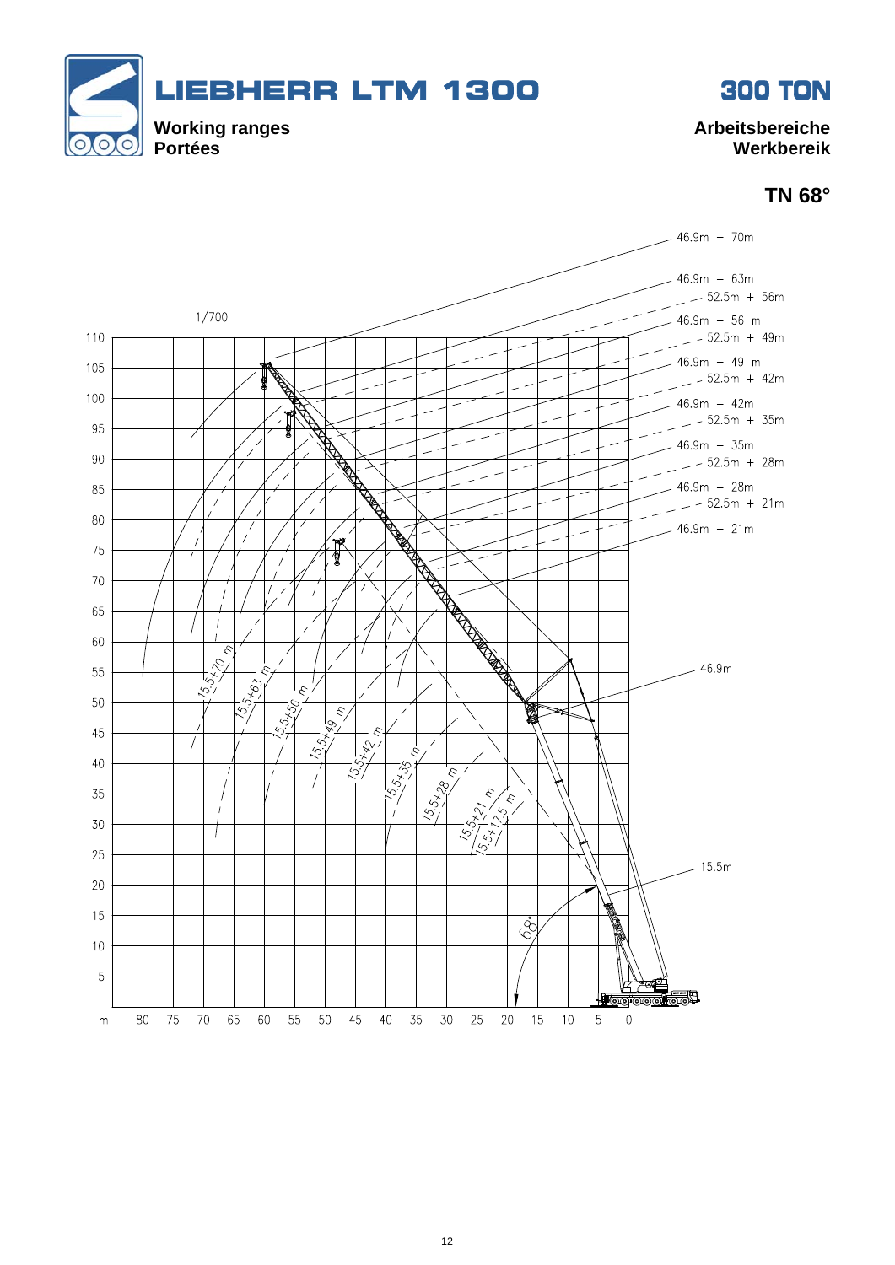

**TN 68°** 

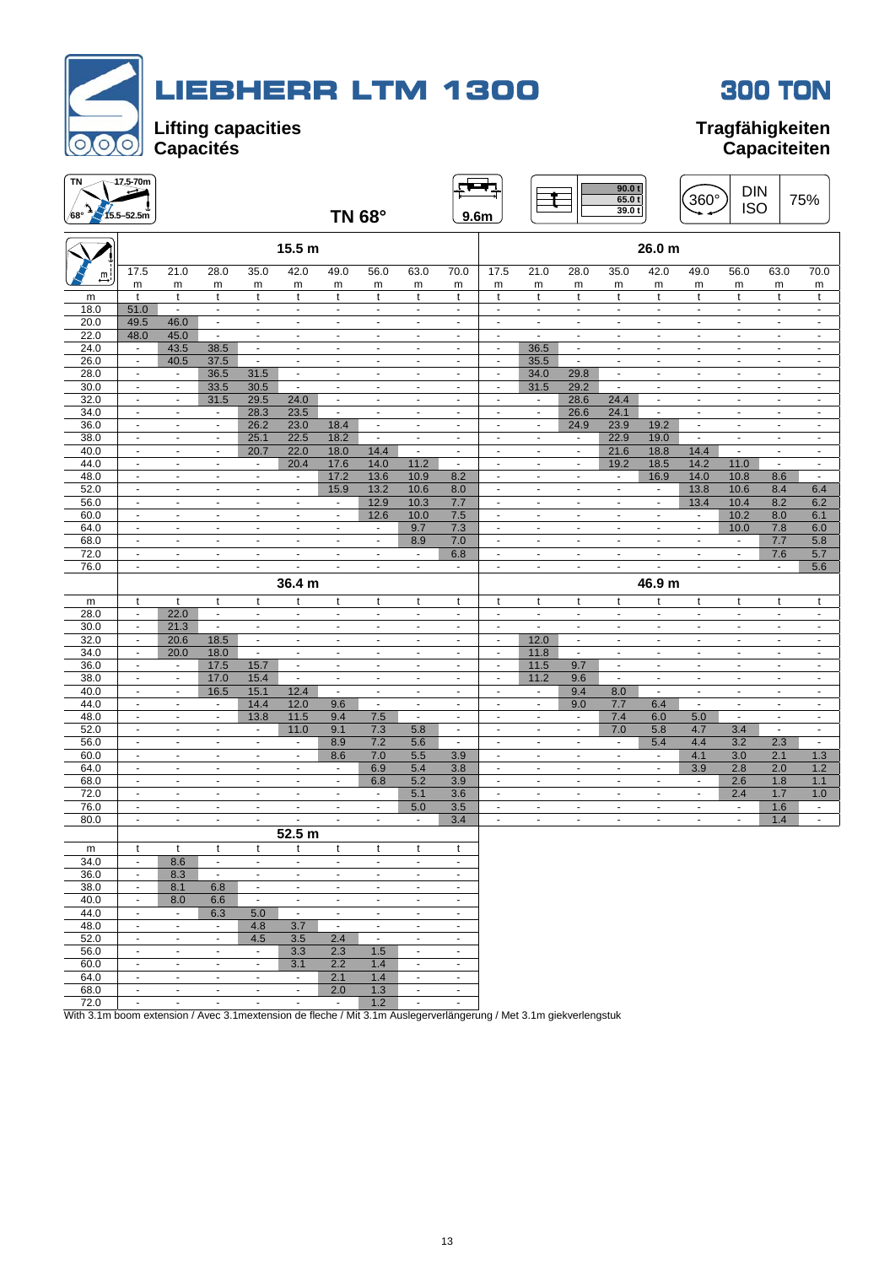



 $T<sup>N</sup>$  17.5-70m 90.0 t

| TN<br>/68°   | $-47.5 - 70m$<br>$15.5 - 52.5m$            |                                            |                                  |                                  |                                            |                                         | <b>TN 68°</b>                    |                                                      | 9.6 <sub>m</sub>                           |                                                      |                                  |                                            | 90.0 t<br>65.0t<br>39.0t      |                                  | 360°                                       | <b>DIN</b><br><b>ISO</b>                             |                                            | 75%                              |
|--------------|--------------------------------------------|--------------------------------------------|----------------------------------|----------------------------------|--------------------------------------------|-----------------------------------------|----------------------------------|------------------------------------------------------|--------------------------------------------|------------------------------------------------------|----------------------------------|--------------------------------------------|-------------------------------|----------------------------------|--------------------------------------------|------------------------------------------------------|--------------------------------------------|----------------------------------|
|              |                                            |                                            |                                  |                                  | 15.5 m                                     |                                         |                                  |                                                      |                                            |                                                      |                                  |                                            |                               | 26.0 m                           |                                            |                                                      |                                            |                                  |
| Щi           | 17.5                                       | 21.0                                       | 28.0                             | 35.0                             | 42.0                                       | 49.0                                    | 56.0                             | 63.0                                                 | 70.0                                       | 17.5                                                 | 21.0                             | 28.0                                       | 35.0                          | 42.0                             | 49.0                                       | 56.0                                                 | 63.0                                       | 70.0                             |
|              | m                                          | m                                          | m                                | m                                | m                                          | m                                       | m                                | m                                                    | m                                          | m                                                    | m                                | m                                          | m                             | m                                | m                                          | m                                                    | m                                          | m                                |
| m            | t                                          | t                                          | t                                | t                                | t                                          | t                                       | t                                | t                                                    | t                                          | t                                                    | t                                | t                                          | t                             | t                                | t                                          | t                                                    | t                                          | t                                |
| 18.0         | 51.0                                       | $\overline{\phantom{a}}$                   | $\blacksquare$                   | $\blacksquare$                   | $\blacksquare$                             | $\blacksquare$                          | $\blacksquare$                   | $\blacksquare$                                       | $\blacksquare$                             | $\blacksquare$                                       | $\blacksquare$                   | $\blacksquare$                             | $\blacksquare$                | $\blacksquare$                   | $\blacksquare$                             | $\blacksquare$                                       | $\blacksquare$                             | $\blacksquare$                   |
| 20.0         | 49.5                                       | 46.0                                       | $\blacksquare$                   | $\blacksquare$                   | $\mathbf{r}$                               | $\blacksquare$                          | $\mathbf{r}$                     | $\blacksquare$                                       | $\blacksquare$                             | $\blacksquare$                                       | $\blacksquare$                   | $\blacksquare$                             | $\overline{\phantom{a}}$      | $\mathbf{r}$                     | $\blacksquare$                             | $\blacksquare$                                       | $\blacksquare$                             | $\blacksquare$                   |
| 22.0         | 48.0                                       | 45.0                                       | $\mathbf{r}$                     | $\mathbf{r}$                     | $\mathbf{r}$                               | $\omega$                                | $\sim$                           | $\sim$                                               | $\sim$                                     | $\blacksquare$                                       | $\mathbf{r}$                     | $\blacksquare$                             | $\sim$                        | $\mathbf{r}$                     | $\sim$                                     | $\sim$                                               | $\blacksquare$                             | $\sim$                           |
| 24.0         | $\blacksquare$                             | 43.5                                       | 38.5                             | $\blacksquare$                   | $\blacksquare$                             | $\blacksquare$                          | $\blacksquare$                   | $\blacksquare$                                       | $\blacksquare$                             | $\overline{\phantom{a}}$                             | 36.5                             | $\blacksquare$                             | $\blacksquare$                | $\overline{\phantom{a}}$         | $\overline{\phantom{a}}$                   | $\blacksquare$                                       | $\blacksquare$                             | $\blacksquare$                   |
| 26.0         | $\overline{\phantom{a}}$                   | 40.5                                       | 37.5                             | $\blacksquare$                   | $\blacksquare$                             | $\overline{a}$                          | $\overline{\phantom{a}}$         | $\overline{\phantom{a}}$                             | $\overline{\phantom{m}}$                   | $\overline{a}$                                       | 35.5                             | $\blacksquare$                             | $\overline{\phantom{a}}$      | $\overline{\phantom{a}}$         |                                            | $\overline{a}$                                       | $\frac{1}{2}$                              | $\overline{a}$                   |
| 28.0         | $\blacksquare$                             | $\blacksquare$                             | 36.5                             | 31.5                             | $\blacksquare$                             | $\sim$                                  | $\blacksquare$                   | $\blacksquare$                                       | ٠                                          | $\blacksquare$                                       | 34.0                             | 29.8                                       | $\sim$                        | ÷,                               | $\blacksquare$                             | $\blacksquare$                                       | $\blacksquare$                             | $\blacksquare$                   |
| 30.0         | $\blacksquare$                             | $\blacksquare$                             | 33.5                             | 30.5                             | $\blacksquare$                             | $\blacksquare$                          | $\blacksquare$                   | $\blacksquare$                                       | $\blacksquare$                             | $\blacksquare$                                       | 31.5                             | 29.2                                       | $\sim$                        | $\blacksquare$                   | $\blacksquare$                             | $\blacksquare$                                       | $\blacksquare$                             | $\blacksquare$                   |
| 32.0         | $\blacksquare$                             | $\blacksquare$                             | 31.5                             | 29.5                             | 24.0                                       | $\blacksquare$                          | $\blacksquare$                   | $\overline{\phantom{a}}$                             | $\overline{\phantom{a}}$                   | $\overline{\phantom{a}}$                             | $\blacksquare$                   | 28.6                                       | 24.4                          | $\blacksquare$                   | $\overline{\phantom{a}}$                   | $\overline{a}$                                       | $\frac{1}{2}$                              | $\overline{\phantom{a}}$         |
| 34.0<br>36.0 | $\overline{\phantom{a}}$<br>$\blacksquare$ | $\blacksquare$<br>$\overline{\phantom{a}}$ | $\sim$                           | 28.3<br>26.2                     | 23.5<br>23.0                               | $\blacksquare$                          | $\blacksquare$<br>$\blacksquare$ | $\overline{\phantom{a}}$<br>$\overline{\phantom{a}}$ | $\blacksquare$<br>$\overline{\phantom{a}}$ | $\overline{\phantom{a}}$<br>$\overline{\phantom{a}}$ | $\blacksquare$<br>$\blacksquare$ | 26.6                                       | 24.1                          | $\blacksquare$<br>19.2           | $\overline{\phantom{a}}$<br>$\blacksquare$ | $\overline{\phantom{a}}$<br>$\overline{\phantom{a}}$ | $\overline{\phantom{a}}$<br>$\blacksquare$ | $\sim$<br>$\blacksquare$         |
| 38.0         | $\overline{\phantom{a}}$                   | $\blacksquare$                             | $\blacksquare$                   | 25.1                             | 22.5                                       | 18.4<br>18.2                            | $\blacksquare$                   | $\blacksquare$                                       | $\overline{\phantom{a}}$                   | $\overline{\phantom{a}}$                             | $\blacksquare$                   | 24.9                                       | 23.9<br>22.9                  | 19.0                             | $\blacksquare$                             | $\blacksquare$                                       | $\blacksquare$                             | $\blacksquare$                   |
| 40.0         | $\blacksquare$                             | $\blacksquare$                             | $\blacksquare$<br>$\blacksquare$ | 20.7                             | 22.0                                       | 18.0                                    | 14.4                             | $\blacksquare$                                       | $\blacksquare$                             | $\overline{\phantom{a}}$                             | $\blacksquare$                   | $\blacksquare$<br>$\overline{\phantom{a}}$ | 21.6                          | 18.8                             | 14.4                                       | $\blacksquare$                                       | $\overline{a}$                             | $\blacksquare$                   |
| 44.0         | $\sim$                                     | $\blacksquare$                             | $\blacksquare$                   | $\blacksquare$                   | 20.4                                       | 17.6                                    | 14.0                             | 11.2                                                 | $\blacksquare$                             | $\blacksquare$                                       | $\blacksquare$                   | $\sim$                                     | 19.2                          | 18.5                             | 14.2                                       | 11.0                                                 | $\blacksquare$                             | $\blacksquare$                   |
| 48.0         | $\blacksquare$                             | $\blacksquare$                             | $\blacksquare$                   | $\blacksquare$                   | $\blacksquare$                             | 17.2                                    | 13.6                             | 10.9                                                 | 8.2                                        | $\blacksquare$                                       | $\blacksquare$                   | $\blacksquare$                             | $\overline{\phantom{a}}$      | 16.9                             | 14.0                                       | 10.8                                                 | 8.6                                        | $\blacksquare$                   |
| 52.0         | $\overline{\phantom{a}}$                   | $\overline{\phantom{a}}$                   | $\overline{\phantom{a}}$         | $\overline{\phantom{a}}$         | $\blacksquare$                             | 15.9                                    | 13.2                             | 10.6                                                 | 8.0                                        | ÷,                                                   | $\overline{\phantom{a}}$         | ÷,                                         | $\overline{\phantom{a}}$      | $\blacksquare$                   | 13.8                                       | 10.6                                                 | 8.4                                        | 6.4                              |
| 56.0         | $\blacksquare$                             | $\overline{\phantom{a}}$                   | $\blacksquare$                   | $\blacksquare$                   | $\blacksquare$                             | $\blacksquare$                          | 12.9                             | 10.3                                                 | 7.7                                        | $\blacksquare$                                       | $\blacksquare$                   | $\overline{\phantom{a}}$                   | $\blacksquare$                | $\blacksquare$                   | 13.4                                       | 10.4                                                 | 8.2                                        | 6.2                              |
| 60.0         | $\overline{\phantom{a}}$                   | $\blacksquare$                             | $\overline{\phantom{a}}$         | $\overline{\phantom{a}}$         | $\blacksquare$                             | $\blacksquare$                          | 12.6                             | 10.0                                                 | 7.5                                        | $\overline{\phantom{a}}$                             | $\blacksquare$                   | $\overline{\phantom{a}}$                   | $\overline{\phantom{a}}$      | ٠                                | $\overline{\phantom{a}}$                   | 10.2                                                 | 8.0                                        | 6.1                              |
| 64.0         | $\overline{\phantom{a}}$                   | ÷,                                         | $\overline{\phantom{a}}$         | $\frac{1}{2}$                    | $\overline{\phantom{a}}$                   | $\ddot{\phantom{0}}$                    | $\overline{\phantom{a}}$         | 9.7                                                  | 7.3                                        | $\blacksquare$                                       | $\overline{a}$                   | ÷,                                         | ÷,                            | ÷,                               | $\overline{\phantom{a}}$                   | 10.0                                                 | 7.8                                        | 6.0                              |
| 68.0         | $\sim$                                     | $\sim$                                     | $\blacksquare$                   | $\mathbf{r}$                     | $\mathbf{r}$                               | $\omega$                                | $\blacksquare$                   | 8.9                                                  | 7.0                                        | $\blacksquare$                                       | $\blacksquare$                   | $\mathbf{r}$                               | $\sim$                        | $\blacksquare$                   | $\blacksquare$                             | $\blacksquare$                                       | 7.7                                        | 5.8                              |
| 72.0         | $\sim$                                     | $\blacksquare$                             | $\blacksquare$                   | $\mathbf{r}$                     | $\blacksquare$                             | $\blacksquare$                          | $\blacksquare$                   | $\overline{\phantom{a}}$                             | 6.8                                        | $\blacksquare$                                       | $\blacksquare$                   | $\blacksquare$                             | $\sim$                        | $\blacksquare$                   | $\sim$                                     | $\omega$                                             | 7.6                                        | 5.7                              |
| 76.0         | $\mathcal{L}_{\mathcal{A}}$                | $\mathbf{u}$                               | $\omega$                         | $\omega$                         | $\blacksquare$                             | $\omega$                                | $\blacksquare$                   | $\omega$                                             | $\blacksquare$                             | $\blacksquare$                                       | $\mathbf{r}$                     | $\blacksquare$                             | $\mathbf{r}$                  | ÷,                               | $\blacksquare$                             | $\omega$                                             | $\blacksquare$                             | 5.6                              |
|              |                                            |                                            |                                  |                                  |                                            |                                         |                                  |                                                      |                                            |                                                      |                                  |                                            |                               |                                  |                                            |                                                      |                                            |                                  |
|              |                                            |                                            |                                  |                                  |                                            |                                         |                                  |                                                      |                                            |                                                      |                                  |                                            |                               |                                  |                                            |                                                      |                                            |                                  |
|              |                                            |                                            |                                  |                                  | 36.4 m                                     |                                         |                                  |                                                      |                                            |                                                      |                                  |                                            |                               | 46.9 m                           |                                            |                                                      |                                            |                                  |
| m            | t<br>$\blacksquare$                        | t                                          | t<br>$\blacksquare$              | t<br>$\blacksquare$              | t<br>$\blacksquare$                        | t<br>$\blacksquare$                     | t<br>$\blacksquare$              | t<br>$\blacksquare$                                  | t<br>$\blacksquare$                        | t<br>$\blacksquare$                                  | t<br>$\blacksquare$              | t<br>$\blacksquare$                        | t<br>$\overline{\phantom{a}}$ | t<br>$\overline{\phantom{a}}$    | t<br>$\blacksquare$                        | t<br>$\blacksquare$                                  | t<br>$\blacksquare$                        | t<br>$\blacksquare$              |
| 28.0         | $\overline{\phantom{a}}$                   | 22.0                                       | $\blacksquare$                   | $\overline{\phantom{a}}$         | $\overline{\phantom{a}}$                   | ÷,                                      | $\blacksquare$                   | $\overline{\phantom{a}}$                             | ٠                                          | $\blacksquare$                                       | $\blacksquare$                   | ÷,                                         | $\overline{a}$                | ÷,                               | $\blacksquare$                             | ÷,                                                   | $\overline{\phantom{a}}$                   | ÷,                               |
| 30.0<br>32.0 | $\blacksquare$                             | 21.3<br>20.6                               | 18.5                             | $\blacksquare$                   | $\blacksquare$                             | $\blacksquare$                          | $\blacksquare$                   | $\blacksquare$                                       | $\blacksquare$                             | $\blacksquare$                                       | 12.0                             | $\mathbf{r}$                               | $\sim$                        | ÷.                               | $\blacksquare$                             | $\sim$                                               | $\blacksquare$                             | $\blacksquare$                   |
| 34.0         | $\overline{\phantom{a}}$                   | 20.0                                       | 18.0                             | $\sim$                           | $\blacksquare$                             | $\blacksquare$                          | $\blacksquare$                   | $\overline{\phantom{a}}$                             | $\blacksquare$                             | $\blacksquare$                                       | 11.8                             | $\blacksquare$                             | $\blacksquare$                | $\blacksquare$                   | $\blacksquare$                             | $\blacksquare$                                       | $\overline{\phantom{a}}$                   | $\blacksquare$                   |
| 36.0         | $\blacksquare$                             | $\blacksquare$                             | 17.5                             | 15.7                             | $\blacksquare$                             | $\blacksquare$                          | $\blacksquare$                   | $\overline{\phantom{a}}$                             | $\blacksquare$                             | $\overline{\phantom{a}}$                             | 11.5                             | 9.7                                        | $\overline{\phantom{a}}$      | $\blacksquare$                   | $\overline{\phantom{a}}$                   | $\overline{\phantom{a}}$                             | $\overline{\phantom{a}}$                   | $\overline{\phantom{a}}$         |
| 38.0         | $\blacksquare$                             | $\blacksquare$                             | 17.0                             | 15.4                             | $\blacksquare$                             | $\blacksquare$                          | $\overline{\phantom{a}}$         | $\blacksquare$                                       | $\overline{\phantom{a}}$                   | $\overline{\phantom{a}}$                             | 11.2                             | 9.6                                        | $\overline{\phantom{a}}$      | ٠                                | $\overline{\phantom{a}}$                   | $\blacksquare$                                       | $\frac{1}{2}$                              | $\blacksquare$                   |
| 40.0         | $\blacksquare$                             | $\blacksquare$                             | 16.5                             | 15.1                             | 12.4                                       | $\blacksquare$                          | $\blacksquare$                   | $\blacksquare$                                       | $\blacksquare$                             | $\blacksquare$                                       | $\blacksquare$                   | 9.4                                        | 8.0                           | $\blacksquare$                   | $\blacksquare$                             | $\blacksquare$                                       | $\blacksquare$                             | $\blacksquare$                   |
| 44.0         | $\overline{\phantom{a}}$                   | $\overline{\phantom{a}}$                   | $\overline{\phantom{a}}$         | 14.4                             | 12.0                                       | 9.6                                     | $\blacksquare$                   | $\overline{\phantom{a}}$                             | $\overline{\phantom{a}}$                   | $\overline{\phantom{a}}$                             | $\overline{\phantom{a}}$         | 9.0                                        | 7.7                           | 6.4                              | $\blacksquare$                             | $\blacksquare$                                       | $\frac{1}{2}$                              | $\blacksquare$                   |
| 48.0         | $\overline{\phantom{a}}$                   | $\overline{\phantom{a}}$                   | $\overline{\phantom{a}}$         | 13.8                             | 11.5                                       | 9.4                                     | 7.5                              | $\blacksquare$                                       | $\blacksquare$                             | $\blacksquare$                                       | $\overline{\phantom{a}}$         | $\overline{\phantom{a}}$                   | 7.4                           | 6.0                              | 5.0                                        | $\blacksquare$                                       | $\overline{\phantom{a}}$                   | $\blacksquare$                   |
| 52.0         | $\mathbf{u}$                               | $\sim$                                     | $\blacksquare$                   | $\blacksquare$                   | 11.0                                       | 9.1                                     | 7.3                              | 5.8                                                  | $\blacksquare$                             | $\blacksquare$                                       | $\blacksquare$                   | $\sim$                                     | 7.0                           | 5.8                              | 4.7                                        | 3.4                                                  | $\blacksquare$                             | $\blacksquare$                   |
| 56.0         | $\blacksquare$                             | $\blacksquare$                             | $\overline{\phantom{a}}$         | $\blacksquare$                   | $\blacksquare$                             | 8.9                                     | 7.2                              | 5.6                                                  | $\blacksquare$                             | $\blacksquare$                                       | $\overline{\phantom{a}}$         | $\overline{\phantom{a}}$                   | $\overline{\phantom{a}}$      | 5.4                              | 4.4                                        | 3.2                                                  | 2.3                                        | $\blacksquare$                   |
| 60.0         | $\blacksquare$                             | $\blacksquare$                             | $\blacksquare$                   | $\blacksquare$                   | $\blacksquare$                             | 8.6                                     | 7.0                              | 5.5                                                  | 3.9                                        | $\blacksquare$                                       | $\overline{\phantom{a}}$         | ÷,                                         | $\overline{\phantom{a}}$      | $\blacksquare$                   | 4.1                                        | 3.0                                                  | 2.1                                        | 1.3                              |
| 64.0         | $\sim$                                     | $\blacksquare$                             | $\overline{\phantom{a}}$         | $\blacksquare$                   | $\blacksquare$                             | $\sim$                                  | 6.9                              | 5.4                                                  | 3.8                                        | $\blacksquare$                                       | $\blacksquare$                   | $\blacksquare$                             | $\overline{\phantom{a}}$      | ٠                                | 3.9                                        | 2.8                                                  | 2.0                                        | 1.2                              |
| 68.0         | $\omega$                                   | $\sim$                                     | $\sim$                           | $\sim$                           | $\sim$                                     | $\blacksquare$                          | 6.8                              | 5.2                                                  | 3.9                                        | $\overline{\phantom{a}}$                             | $\blacksquare$                   | $\mathbf{r}$                               | $\blacksquare$                | $\blacksquare$                   | $\sim$                                     | 2.6                                                  | 1.8                                        | 1.1                              |
| 72.0         |                                            | $\overline{a}$<br>$\blacksquare$           | $\blacksquare$                   | $\overline{\phantom{a}}$         | $\overline{\phantom{a}}$                   | $\overline{\phantom{a}}$                | $\overline{\phantom{a}}$         | 5.1                                                  | 3.6                                        | $\overline{a}$                                       | $\overline{\phantom{a}}$         | $\overline{a}$                             | $\overline{a}$                | $\overline{a}$                   |                                            | 2.4                                                  | 1.7                                        | 1.0                              |
| 76.0         | $\sim$<br>$\sim$                           | $\blacksquare$                             | $\blacksquare$                   | $\blacksquare$<br>$\mathbf{r}$   | $\blacksquare$                             | $\blacksquare$<br>$\tilde{\phantom{a}}$ | $\blacksquare$<br>$\blacksquare$ | 5.0<br>$\mathbf{r}$                                  | 3.5                                        | $\blacksquare$<br>$\mathbf{r}$                       | $\blacksquare$<br>$\omega$       | $\blacksquare$<br>$\blacksquare$           | $\blacksquare$<br>$\sim$      | $\blacksquare$<br>$\blacksquare$ | $\blacksquare$<br>$\blacksquare$           | $\blacksquare$<br>$\mathbf{r}$                       | 1.6                                        | $\blacksquare$<br>$\blacksquare$ |
| 80.0         |                                            |                                            |                                  |                                  |                                            |                                         |                                  |                                                      | 3.4                                        |                                                      |                                  |                                            |                               |                                  |                                            |                                                      | 1.4                                        |                                  |
|              |                                            |                                            |                                  |                                  | 52.5 m                                     |                                         |                                  |                                                      |                                            |                                                      |                                  |                                            |                               |                                  |                                            |                                                      |                                            |                                  |
| m            |                                            |                                            |                                  |                                  |                                            |                                         |                                  |                                                      |                                            |                                                      |                                  |                                            |                               |                                  |                                            |                                                      |                                            |                                  |
| 34.0         | $\overline{\phantom{a}}$<br>$\blacksquare$ | 8.6                                        | $\blacksquare$                   | $\blacksquare$<br>$\blacksquare$ | $\overline{\phantom{a}}$<br>$\blacksquare$ | $\blacksquare$<br>$\sim$                | $\blacksquare$<br>$\sim$         | $\overline{\phantom{a}}$<br>$\mathbf{r}$             | ٠<br>$\sim$                                |                                                      |                                  |                                            |                               |                                  |                                            |                                                      |                                            |                                  |
| 36.0         | $\sim$                                     | 8.3                                        |                                  | $\mathbf{r}$                     | $\sim$                                     | $\sim$                                  | $\sim$                           | $\sim$                                               | $\blacksquare$                             |                                                      |                                  |                                            |                               |                                  |                                            |                                                      |                                            |                                  |
| 38.0         | $\blacksquare$                             | 8.1                                        | 6.8                              | $\sim$                           | $\blacksquare$                             | $\blacksquare$                          | $\sim$                           | $\sim$                                               | $\omega$                                   |                                                      |                                  |                                            |                               |                                  |                                            |                                                      |                                            |                                  |
| 40.0         |                                            | 8.0<br>$\blacksquare$                      | 6.6                              |                                  | $\overline{\phantom{a}}$                   | $\blacksquare$                          | $\blacksquare$                   | $\overline{\phantom{a}}$                             | $\overline{\phantom{a}}$                   |                                                      |                                  |                                            |                               |                                  |                                            |                                                      |                                            |                                  |
| 44.0<br>48.0 | $\omega$                                   | $\sim$                                     | 6.3<br>$\sim$                    | 5.0<br>4.8                       | 3.7                                        | $\omega$                                | $\omega$                         | $\mathbf{u}$                                         | $\sim$                                     |                                                      |                                  |                                            |                               |                                  |                                            |                                                      |                                            |                                  |
| 52.0         | $\blacksquare$                             | $\blacksquare$                             | $\sim$                           | 4.5                              | 3.5                                        | 2.4                                     | $\blacksquare$                   | $\blacksquare$                                       | $\blacksquare$                             |                                                      |                                  |                                            |                               |                                  |                                            |                                                      |                                            |                                  |
| 56.0         | $\overline{\phantom{a}}$                   | $\blacksquare$                             | $\blacksquare$                   | $\overline{\phantom{a}}$         | 3.3                                        | 2.3                                     | 1.5                              | $\blacksquare$                                       | $\overline{\phantom{a}}$                   |                                                      |                                  |                                            |                               |                                  |                                            |                                                      |                                            |                                  |

72.0 - - - - - - 1.2 - - With 3.1m boom extension / Avec 3.1mextension de fleche / Mit 3.1m Auslegerverlängerung / Met 3.1m giekverlengstuk

64.0 - - - - - 2.1 1.4 - -**68.0** - - - - - - 2.0 1.3 - -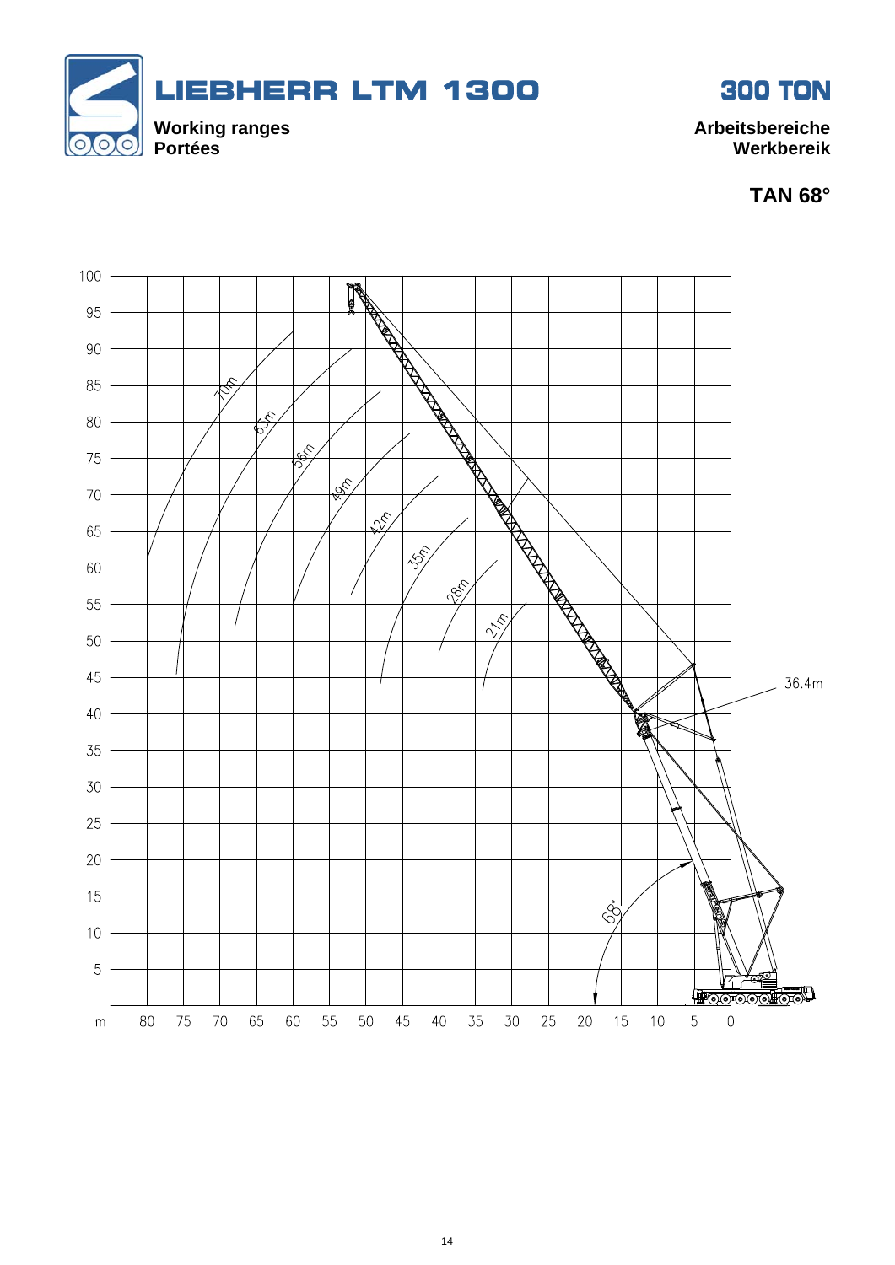



**TAN 68°** 

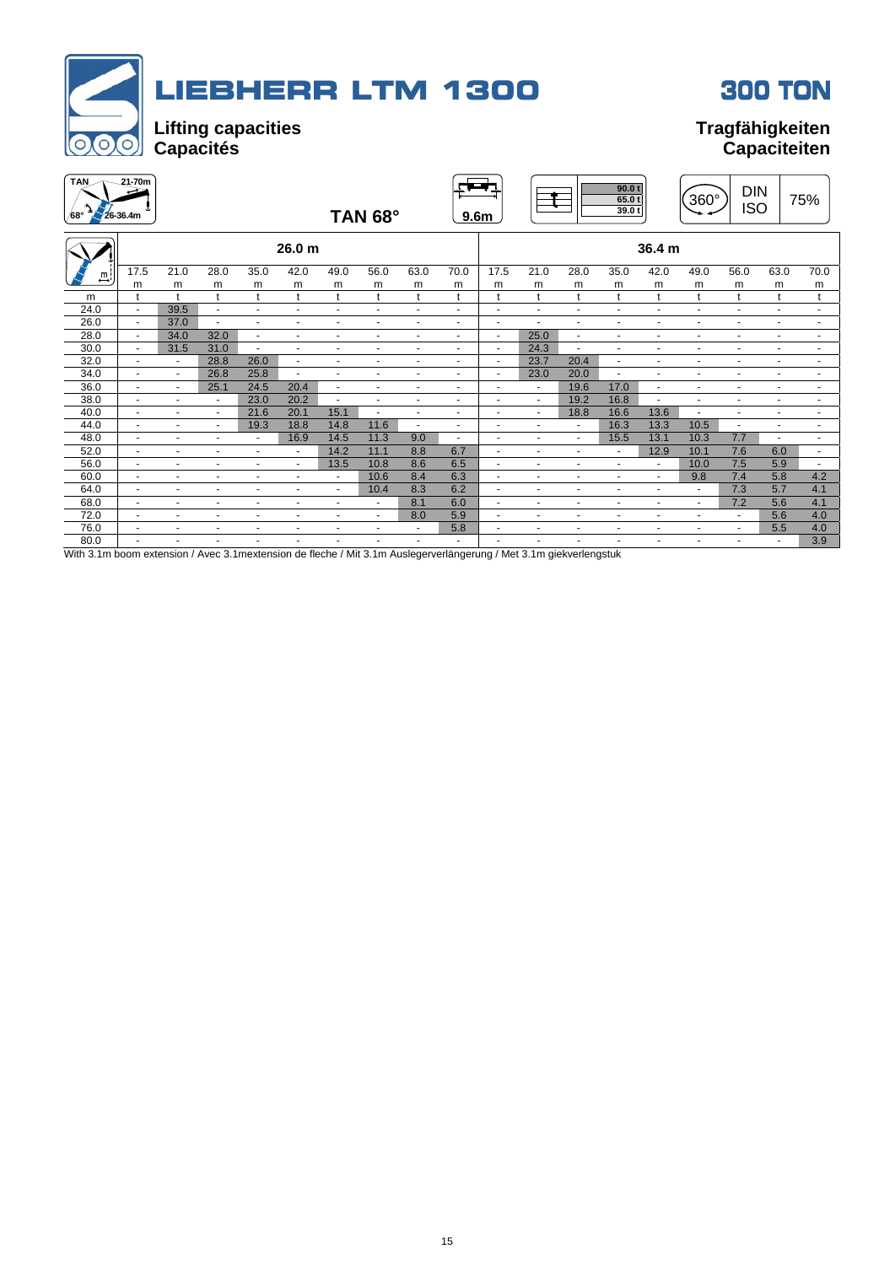| <b>LIEBHERR LTM 1300</b><br><b>300 TON</b><br><b>Lifting capacities</b><br><b>Tragfähigkeiten</b><br>$\overline{O}$<br><b>Capacités</b><br><b>Capaciteiten</b><br>$21 - 70m$<br><b>TAN</b><br>- 7 |                          |                          |                          |                          |                          |                          |                |                          |                          |                          |                      |                |                          |                |                          |                          |                |                          |
|---------------------------------------------------------------------------------------------------------------------------------------------------------------------------------------------------|--------------------------|--------------------------|--------------------------|--------------------------|--------------------------|--------------------------|----------------|--------------------------|--------------------------|--------------------------|----------------------|----------------|--------------------------|----------------|--------------------------|--------------------------|----------------|--------------------------|
| /68°                                                                                                                                                                                              | $26 - 36.4m$             |                          |                          |                          |                          |                          | TAN 68°        |                          | 9.6 <sub>m</sub>         |                          |                      |                | 90.0 t<br>65.01<br>39.0t |                | 360°                     | <b>DIN</b><br><b>ISO</b> |                | 75%                      |
|                                                                                                                                                                                                   |                          |                          |                          |                          | 26.0 <sub>m</sub>        |                          |                |                          |                          |                          |                      |                |                          | 36.4 m         |                          |                          |                |                          |
| $\stackrel{m}{\rightarrow}$                                                                                                                                                                       | 17.5                     | 21.0                     | 28.0                     | 35.0                     | 42.0                     | 49.0                     | 56.0           | 63.0                     | 70.0                     | 17.5                     | 21.0                 | 28.0           | 35.0                     | 42.0           | 49.0                     | 56.0                     | 63.0           | 70.0                     |
|                                                                                                                                                                                                   | m                        | m                        | m                        | m                        | m                        | m                        | m              | m                        | m                        | m                        | m                    | m              | m                        | m              | m                        | m                        | m              | m                        |
| m                                                                                                                                                                                                 | t                        | $\mathbf{t}$             | t                        | t                        | t                        | t                        | t              | t                        | t                        | t                        | t                    | t              | t                        | t              | t                        | t                        | t              | t                        |
| 24.0                                                                                                                                                                                              | $\blacksquare$           | 39.5                     | $\mathbf{u}$             | $\blacksquare$           | $\overline{\phantom{a}}$ | $\blacksquare$           | $\blacksquare$ | $\overline{\phantom{a}}$ | $\blacksquare$           | $\blacksquare$           | $\blacksquare$       | $\blacksquare$ | $\blacksquare$           |                | $\blacksquare$           | $\blacksquare$           | $\blacksquare$ | $\blacksquare$           |
| 26.0                                                                                                                                                                                              | $\blacksquare$           | 37.0                     | $\overline{\phantom{a}}$ | $\blacksquare$           | $\blacksquare$           | $\blacksquare$           | $\blacksquare$ | $\overline{\phantom{a}}$ | ٠                        | $\overline{a}$           |                      |                |                          |                |                          |                          |                | $\blacksquare$           |
| 28.0                                                                                                                                                                                              | $\blacksquare$           | 34.0                     | 32.0                     | $\sim$                   | $\overline{\phantom{a}}$ | ٠                        | $\blacksquare$ | $\blacksquare$           | ٠                        | $\overline{\phantom{a}}$ | 25.0                 | $\blacksquare$ | $\overline{\phantom{a}}$ | $\overline{a}$ | $\overline{\phantom{a}}$ | $\blacksquare$           | $\overline{a}$ | $\blacksquare$           |
| 30.0                                                                                                                                                                                              | $\blacksquare$           | 31.5                     | 31.0                     | $\overline{a}$           | $\sim$                   | ÷,                       | $\sim$         | $\blacksquare$           | $\mathbf{r}$             | $\overline{a}$           | 24.3                 | $\overline{a}$ | $\overline{\phantom{a}}$ | $\overline{a}$ | $\sim$                   | $\blacksquare$           | $\blacksquare$ | $\blacksquare$           |
| 32.0                                                                                                                                                                                              | $\sim$                   | $\overline{\phantom{a}}$ | 28.8                     | 26.0                     | $\sim$                   | $\sim$                   | $\sim$         | $\blacksquare$           | $\overline{\phantom{a}}$ | $\overline{\phantom{a}}$ | 23.7                 | 20.4           | $\sim$                   | ÷              | $\sim$                   | $\ddot{\phantom{1}}$     | $\blacksquare$ | $\sim$                   |
| 34.0                                                                                                                                                                                              | $\sim$                   | $\blacksquare$           | 26.8                     | 25.8                     | $\blacksquare$           | $\sim$                   | $\sim$         | $\blacksquare$           | $\overline{\phantom{a}}$ | $\overline{a}$           | 23.0                 | 20.0           | $\overline{a}$           | ٠              | $\sim$                   | $\blacksquare$           | $\blacksquare$ | $\blacksquare$           |
| 36.0                                                                                                                                                                                              | $\sim$                   | $\blacksquare$           | 25.1                     | 24.5                     | 20.4                     | $\sim$                   | $\blacksquare$ | $\ddot{\phantom{1}}$     | $\blacksquare$           |                          | ÷                    | 19.6           | 17.0                     | ÷              |                          | ÷                        | $\blacksquare$ | $\sim$                   |
| 38.0                                                                                                                                                                                              | $\sim$                   | $\sim$                   | $\sim$                   | 23.0                     | 20.2                     | t,                       | $\sim$         | $\mathbf{r}$             | ä,                       | $\sim$                   | ÷.                   | 19.2           | 16.8                     | $\blacksquare$ | $\sim$                   | $\blacksquare$           | $\blacksquare$ | $\sim$                   |
| 40.0                                                                                                                                                                                              | $\sim$                   | $\sim$                   | $\sim$                   | 21.6                     | 20.1                     | 15.1                     | $\sim$         | $\sim$                   | ä,                       | $\mathbf{r}$             | ä,                   | 18.8           | 16.6                     | 13.6           | $\mathbf{r}$             | $\sim$                   | ä,             | $\sim$                   |
| 44.0                                                                                                                                                                                              | $\sim$                   | $\blacksquare$           | $\blacksquare$           | 19.3                     | 18.8                     | 14.8                     | 11.6           | $\blacksquare$           | ٠                        | $\ddot{\phantom{1}}$     | $\ddot{\phantom{1}}$ | $\blacksquare$ | 16.3                     | 13.3           | 10.5                     | $\blacksquare$           | $\overline{a}$ | $\blacksquare$           |
| 48.0                                                                                                                                                                                              | $\blacksquare$           | $\blacksquare$           | $\blacksquare$           | $\overline{\phantom{a}}$ | 16.9                     | 14.5                     | 11.3           | 9.0                      | ٠                        | $\overline{\phantom{a}}$ | $\blacksquare$       | $\blacksquare$ | 15.5                     | 13.1           | 10.3                     | 7.7                      | ٠              | $\overline{\phantom{a}}$ |
| 52.0                                                                                                                                                                                              | $\blacksquare$           | $\blacksquare$           | $\sim$                   | $\blacksquare$           | $\blacksquare$           | 14.2                     | 11.1           | 8.8                      | 6.7                      | ÷.                       | $\blacksquare$       | $\blacksquare$ | $\blacksquare$           | 12.9           | 10.1                     | 7.6                      | 6.0            | $\blacksquare$           |
| 56.0                                                                                                                                                                                              | $\blacksquare$           | $\blacksquare$           | $\sim$                   | $\blacksquare$           | $\blacksquare$           | 13.5                     | 10.8           | 8.6                      | 6.5                      | $\blacksquare$           | $\blacksquare$       | $\blacksquare$ | $\blacksquare$           | $\blacksquare$ | 10.0                     | 7.5                      | 5.9            | $\blacksquare$           |
| 60.0                                                                                                                                                                                              | $\blacksquare$           | $\blacksquare$           | $\overline{\phantom{a}}$ | $\overline{\phantom{a}}$ | $\blacksquare$           | $\overline{\phantom{a}}$ | 10.6           | 8.4                      | 6.3                      | $\blacksquare$           | $\blacksquare$       | $\blacksquare$ | $\blacksquare$           | $\blacksquare$ | 9.8                      | 7.4                      | 5.8            | 4.2                      |
| 64.0                                                                                                                                                                                              | $\sim$                   | $\blacksquare$           | $\overline{\phantom{a}}$ | $\blacksquare$           | $\blacksquare$           | $\blacksquare$           | 10.4           | 8.3                      | 6.2                      |                          |                      | $\blacksquare$ | $\blacksquare$           | ٠              |                          | 7.3                      | 5.7            | 4.1                      |
| 68.0                                                                                                                                                                                              | $\overline{\phantom{a}}$ | $\sim$                   | $\sim$                   | $\blacksquare$           | $\sim$                   | $\blacksquare$           | $\sim$         | 8.1                      | 6.0                      | $\sim$                   | ÷                    | $\overline{a}$ | $\sim$                   | ÷              | $\sim$                   | 7.2                      | 5.6            | 4.1                      |
| 72.0                                                                                                                                                                                              | $\sim$                   | $\overline{\phantom{a}}$ | $\blacksquare$           | $\sim$                   | $\blacksquare$           | $\blacksquare$           | $\sim$         | 8.0                      | 5.9                      | $\ddot{\phantom{1}}$     | $\ddot{\phantom{1}}$ | $\sim$         | $\overline{a}$           | $\overline{a}$ | $\overline{\phantom{a}}$ | $\overline{\phantom{a}}$ | 5.6            | 4.0                      |
| 76.0                                                                                                                                                                                              | $\overline{a}$           | $\sim$                   | $\ddot{\phantom{1}}$     | $\overline{\phantom{a}}$ | $\blacksquare$           | ÷,                       | $\sim$         | $\mathbf{r}$             | 5.8                      | $\ddot{\phantom{1}}$     | $\ddot{\phantom{1}}$ | $\blacksquare$ | $\overline{\phantom{a}}$ | $\overline{a}$ |                          | $\blacksquare$           | 5.5            | 4.0                      |
| 80.0                                                                                                                                                                                              | $\overline{a}$           |                          | $\blacksquare$           | $\sim$                   | $\ddot{\phantom{1}}$     | $\blacksquare$           |                | $\ddot{\phantom{1}}$     |                          |                          | $\sim$               |                | ÷                        | ÷              | $\overline{\phantom{a}}$ | $\ddot{\phantom{1}}$     |                | 3.9                      |

With 3.1m boom extension / Avec 3.1mextension de fleche / Mit 3.1m Auslegerverlängerung / Met 3.1m giekverlengstuk